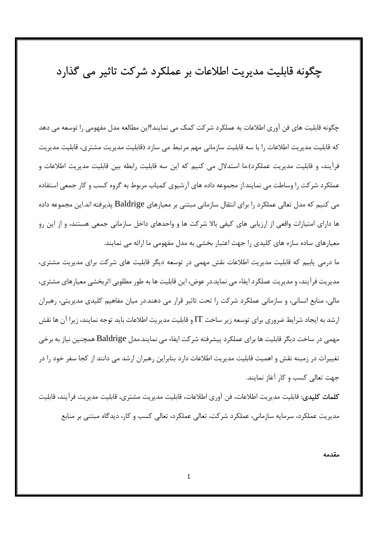# چگونه قابلیت مدیریت اطلاعات بر عملکرد شرکت تاثیر می گذارد

چگونه قابلیت های فن آوری اطلاعات به عملکرد شرکت کمک می نمایند؟این مطالعه مدل مفهومی را توسعه می دهد که قابلیت مدیریت اطلاعات را با سه قابلیت سازمانی مهم مرتبط می سازد (قابلیت مدیریت مشتری، قابلیت مدیریت فرآيند، و قابليت مديريت عملكرد).ما استدلال مي كنيم كه اين سه قابليت رابطه بين قابليت مديريت اطلاعات و عملکرد شرکت را وساطت می نمایند.از مجموعه داده های آرشیوی کمیاب مربوط به گروه کسب و کار جمعی استفاده می کنیم که مدل تعالی عملکرد را برای انتقال سازمانی مبتنی بر معیارهای Baldrige پذیرفته اند.این مجموعه داده ها دارای امتیازات واقعی از ارزیابی های کیفی بالا شرکت ها و واحدهای داخل سازمانی جمعی هستند، و از این رو معیارهای ساده سازه های کلیدی را جهت اعتبار بخشی به مدل مفهومی ما ارائه می نمایند.

ما درمی پابیم که قابلیت مدیریت اطلاعات نقش مهمی در توسعه دیگر قابلیت های شرکت برای مدیریت مشتری، مدیریت فرآیند، و مدیریت عملکرد ایفاء می نماید.در عوض، این قابلیت ها به طور مطلوبی اثربخشی معیارهای مشتری، مالی، منابع انسانی، و سازمانی عملکرد شرکت را تحت تاثیر قرار می دهند.در میان مفاهیم کلیدی مدیریتی، رهبران ارشد به ایجاد شرایط ضروری برای توسعه زیر ساخت  $\Gamma$  و قابلیت مدیریت اطلاعات باید توجه نمایند، زیرا آن ها نقش مهمي در ساخت ديگر قابليت ها براي عملكرد پيشرفته شركت ايفاء مي نمايند.مدل Baldrige همچنين نياز به برخي تغییرات در زمینه نقش و اهمیت قابلیت مدیریت اطلاعات دارد بنابراین رهبران ارشد می دانند از کجا سفر خود را در جهت تعالى كسب و كار آغاز نمايند.

**كلمات كليدي**: قابليت مديريت اطلاعات، فن آوري اطلاعات، قابليت مديريت مشتري، قابليت مديريت فرآيند، قابليت مدیریت عملکرد، سرمایه سازمانی، عملکرد شرکت، تعالی عملکرد، تعالی کسب و کار، دیدگاه مبتنی بر منابع

مقدمه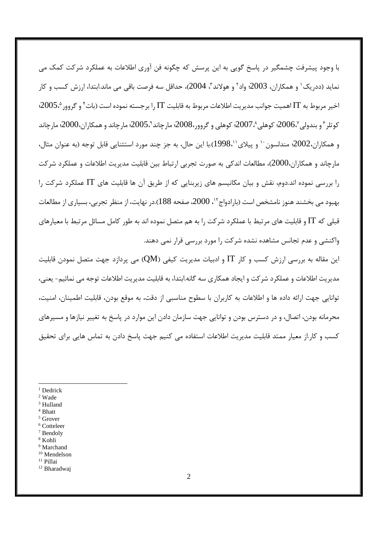با وجود پیشرفت چشمگیر در پاسخ گویی به این پرسش که چگونه فن آوری اطلاعات به عملکرد شرکت کمک می نمايد (ددريک ٰ و همکاران، 2003؛ واد ٗ و هولاند ؒ، 2004)، حداقل سه فرصت باقي مي ماند.ابتدا، ارزش کسب و کار اخير مربوط به IT اهميت جوانب مديريت اطلاعات مربوط به قابليت IT را برجسته نموده است (بات ً و گروور 2005، 2005؛ کوتلر ٔ و بندولی '،2006؛ کوهلی '،2007؛ کوهلی و گروور،2008؛ مارچاند °،2005؛ مارچاند و همکاران،2000؛ مارچاند و همکاران،2002؛ مندلسون `` و پیلای'`،1998).با این حال، به جز چند مورد استثنایی قابل توجه (به عنوان مثال، مارچاند و همکاران،2000)، مطالعات اندکی به صورت تجربی ارتباط بین قابلیت مدیریت اطلاعات و عملکرد شرکت را بررسی نموده اند.دوم، نقش و بیان مکانیسم های زیربنایی که از طریق آن ها قابلیت های IT عملکرد شرکت را بهبود می بخشند هنوز نامشخص است (بارادواج٢'، 2000، صفحه 188).در نهایت، از منظر تجربی، بسیاری از مطالعات قبلی که IT و قابلیت های مرتبط با عملکرد شرکت را به هم متصل نموده اند به طور کامل مسائل مرتبط با معیارهای واکنشی و عدم تجانس مشاهده نشده شرکت را مورد بررسی قرار نمی دهند.

این مقاله به بررسی ارزش کسب و کار  $\Pi$  و ادبیات مدیریت کیفی (QM) می پردازد جهت متصل نمودن قابلیت مدیریت اطلاعات و عملکرد شرکت و ایجاد همکاری سه گانه.ابتدا، به قابلیت مدیریت اطلاعات توجه می نمائیم- یعنی، توانایی جهت ارائه داده ها و اطلاعات به کاربران با سطوح مناسبی از دقت، به موقع بودن، قابلیت اطمینان، امنیت، محرمانه بودن، اتصال، و در دسترس بودن و توانایی جهت سازمان دادن این موارد در پاسخ به تغییر نیازها و مسیرهای کسب و کار از معیار ممتد قابلیت مدیریت اطلاعات استفاده می کنیم جهت پاسخ دادن به تماس هایی برای تحقیق

- $1$  Dedrick
- <sup>2</sup> Wade
- <sup>3</sup> Hulland
- $^4$  Bhatt  $5$  Grover
- <sup>6</sup> Cotteleer
- $7$  Bendolv
- <sup>8</sup> Kohli
- <sup>9</sup> Marchand
- <sup>10</sup> Mendelson
- <sup>11</sup> Pillai
- <sup>12</sup> Bharadwaj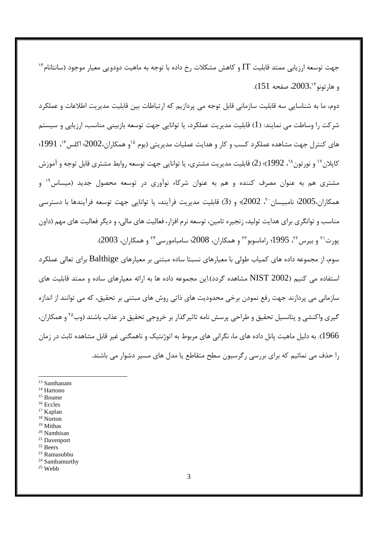جهت توسعه ارزیابی ممتد قابلیت IT و کاهش مشکلات رخ داده با توجه به ماهیت دودویی معیار موجود (سانتانام<sup>۱۳</sup> و ها, تونو <sup>۱۴</sup>،2003، صفحه 151).

دوم، ما به شناسایی سه قابلیت سازمانی قابل توجه می پردازیم که ارتباطات بین قابلیت مدیریت اطلاعات و عملکرد شر کت را وساطت می نمایند: (1) قابلیت مدیریت عملکرد، یا توانایی جهت توسعه بازبینی مناسب، ارزیابی و سیستم های کنترل جهت مشاهده عملکرد کسب و کار و هدایت عملیات مدیریتی (بوم <sup>۱۵</sup>و همکاران،2002؛ اکلس<sup>۱۶</sup>، 1991؛ کايلان <sup>۱۷</sup> و نور تون <sup>۱</sup>⁄ ، 1992)؛ (2) قابليت مديريت مشتري، يا توانايي جهت توسعه روابط مشتري قابل توجه و اموزش مشتری هم به عنوان مصرف کننده و هم به عنوان شرکاء نوآوری در توسعه محصول جدید (میساس<sup>۱۹</sup> و همكاران،2005؛ نامبيسان ٢٠ (2002)؛ و (3) قابليت مديريت فرآيند، يا توانايي جهت توسعه فرآيندها با دسترسي مناسب و توانگری برای هدایت تولید، زنجیره تامین، توسعه نرم افزار، فعالیت های مالی، و دیگر فعالیت های مهم (داون پورت<sup>۲۱</sup> و بیرس<sup>۲۲</sup>، 1995؛ راماسوبو۲۳ و همکاران، 2008؛ سامبامورسی<sup>۲۴</sup> و همکاران، 2003).

سوم، از مجموعه داده های کمیاب طولی با معیارهای نسبتا ساده مبتنی بر معیارهای Balthige برای تعالی عملکرد استفاده می کنیم (NIST 2002 مشاهده گردد).این مجموعه داده ها به ارائه معیارهای ساده و ممتد قابلیت های سازمانی می پردازند جهت رفع نمودن برخی محدودیت های ذاتی روش های مبتنی بر تحقیق، که می توانند از اندازه گیری واکنشی و پتانسیل تحقیق و طراحی پرسش نامه تاثیرگذار بر خروجی تحقیق در عذاب باشند (وب<sup>۲۵</sup> و همکاران، 1966). به دلیل ماهیت پانل داده های ما، نگرانی های مربوط به اتوژنتیک و ناهمگنی غیر قابل مشاهده ثابت در زمان را حذف می نمائیم که برای بررسی رگرسیون سطح متقاطع یا مدل های مسیر دشوار می باشند.

- $^{\rm 14}$  Hartono
- <sup>15</sup> Boume
- $^{16}$  Eccles
- <sup>17</sup> Kaplan
- $18$  Norton <sup>19</sup> Mithas
- 
- <sup>20</sup> Nambisan <sup>21</sup> Davenport
- <sup>22</sup> Beers
- <sup>23</sup> Ramasubbu
- <sup>24</sup> Sambamurthy
- $25$  Webb

<sup>&</sup>lt;sup>13</sup> Santhanam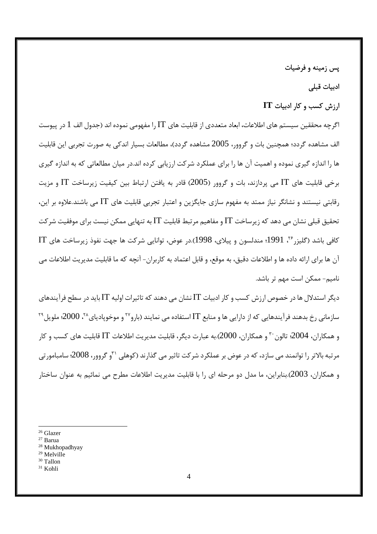يس زمينه و فرضيات

ادبيات قبلى

### $IT$  ارزش کسب و کار ادبیات

اگرچه محققین سیستم های اطلاعات، ابعاد متعددی از قابلیت های  $\Gamma$ را مفهومی نموده اند (جدول الف  $1$  در پیوست الف مشاهده گردد؛ همچنین بات و گروور، 2005 مشاهده گردد)، مطالعات بسیار اندکی به صورت تجربی این قابلیت ها را اندازه گیری نموده و اهمیت آن ها را برای عملکرد شرکت ارزیابی کرده اند.در میان مطالعاتی که به اندازه گیری برخی قابلیت های  $\rm{T}$  می پردازند، بات و گروور (2005) قادر به یافتن ارتباط بین کیفیت زیرساخت  $\rm{T}$  و مزیت رقابتی نیستند و نشانگر نیاز ممتد به مفهوم سازی جایگزین و اعتبار تجربی قابلیت های IT می باشند.علاوه بر این، تحقیق قبلے نشان مے ،دھد که زیرساخت IT و مفاهیم مرتبط قابلیت IT به تنهایی ممکن نیست برای موفقیت شرکت كافي باشد (گليز, ٢٠ ،1991؛ مندلسون و پيلاي، 1998).در عوض، توانايي شركت ها جهت نفوذ زيرساخت هاي IT آن ها برای ارائه داده ها و اطلاعات دقیق، به موقع، و قابل اعتماد به کاربران- آنچه که ما قابلیت مدیریت اطلاعات می نامیم- ممکن است مهم تر باشد.

دیگر استدلال ها در خصوص ارزش کسب و کار ادبیات  $\Gamma\Gamma$ نشان می دهند که تاثیرات اولیه  $\Gamma\Gamma$ باید در سطح فرآیندهای سازمانی رخ بدهند فرآیندهایی که از دارایی ها و منابع IT استفاده می نمایند (بارو<sup>۲۷</sup> و موخوپادیای<sup>۲۸</sup>، 2000؛ ملویل<sup>۲۹</sup> و همکاران، 2004؛ تالون َ٣٠ و همکاران، 2000).به عبارت ديگر، قابليت مديريت اطلاعات IT قابليت هاي کسب و کار مرتبه بالاتر را توانمند می سازد، که در عوض بر عملکرد شرکت تاثیر می گذارند (کوهلی ۳۱ و گروور، 2008؛ سامبامورتی و همکاران، 2003).بنابراین، ما مدل دو مرحله ای را با قابلیت مدیریت اطلاعات مطرح می نمائیم به عنوان ساختار

- <sup>26</sup> Glazer
- <sup>27</sup> Barua
- <sup>28</sup> Mukhopadhyay
- <sup>29</sup> Melville
- <sup>30</sup> Tallon
- $31$  Kohli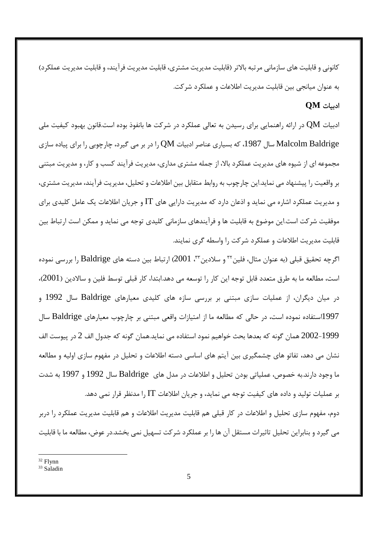کانونی و قابلیت های سازمانی مر تبه بالاتر (قابلیت مدیریت مشتری، قابلیت مدیریت فرآیند، و قابلیت مدیریت عملکرد) به عنوان میانجی بین قابلیت مدیریت اطلاعات و عملکرد شرکت.

## $OM$  ادبیات

ادبیات QM در ارائه راهنمایی برای رسیدن به تعالی عملکرد در شرکت ها بانفوذ بوده است.قانون بهبود کیفیت ملی Malcolm Baldrige سال 1987، که بسیاری عناصر ادبیات QM را در بر می گیرد، چارچوبی را برای پیاده سازی مجموعه ای از شیوه های مدیریت عملکرد بالا، از جمله مشتری مداری، مدیریت فرآیند کسب و کار، و مدیریت مبتنی بر واقعیت را پیشنهاد می نماید.این چارچوب به روابط متقابل بین اطلاعات و تحلیل، مدیریت فرآیند، مدیریت مشتری، و مدیریت عملکرد اشاره می نماید و اذعان دارد که مدیریت دارایی های IT و جریان اطلاعات یک عامل کلیدی برای موفقیت شرکت است.این موضوع به قابلیت ها و فرآیندهای سازمانی کلیدی توجه می نماید و ممکن است ارتباط بین قابلیت مدیریت اطلاعات و عملکرد شرکت را واسطه گری نمایند.

اگرچه تحقیق قبلی (به عنوان مثال، فلین™ و سلادین™، 2001) ارتباط بین دسته های Baldrige را بررسی نموده است، مطالعه ما به طرق متعدد قابل توجه این کار را توسعه می دهد.ابتدا، کار قبلی توسط فلین و سالادین (2001)، در میان دیگران، از عملیات سازی مبتنی بر بررسی سازه های کلیدی معیارهای Baldrige سال 1992 و 1997استفاده نموده است، در حالي كه مطالعه ما از امتيازات واقعي مبتني بر چارچوب معيارهاي Baldrige سال 1999–2002 همان گونه که بعدها بحث خواهیم نمود استفاده می نماید.همان گونه که جدول الف 2 در پیوست الف نشان می دهد، تفاتو های چشمگیری بین آیتم های اساسی دسته اطلاعات و تحلیل در مفهوم سازی اولیه و مطالعه ما وجود دارند.به خصوص، عملياتي بودن تحليل و اطلاعات در مدل هاي Baldrige سال 1992 و 1997 به شدت بر عملیات تولید و داده های کیفیت توجه می نماید، و جریان اطلاعات IT را مدنظر قرار نمی دهد.

دوم، مفهوم سازی تحلیل و اطلاعات در کار قبلی هم قابلیت مدیریت اطلاعات و هم قابلیت مدیریت عملکرد را دربر می گیرد و بنابراین تحلیل تاثیرات مستقل آن ها را بر عملکرد شرکت تسهیل نمی بخشد.در عوض، مطالعه ما با قابلیت

<sup>&</sup>lt;sup>32</sup> Flynn

<sup>&</sup>lt;sup>33</sup> Saladin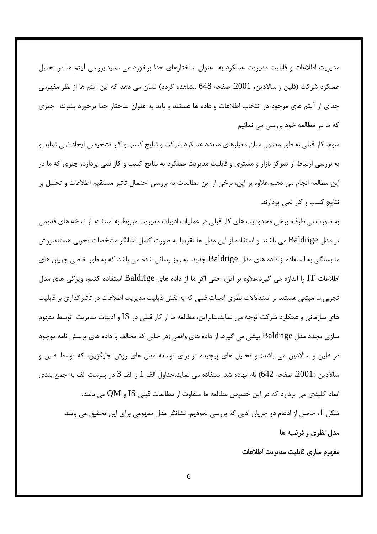مدیریت اطلاعات و قابلیت مدیریت عملکرد به عنوان ساختارهای جدا برخورد می نماید.بررسی آیتم ها در تحلیل عملکرد شرکت (فلین و سالادین، 2001، صفحه 648 مشاهده گردد) نشان می دهد که این آیتم ها از نظر مفهومی جدای از آیتم های موجود در انتخاب اطلاعات و داده ها هستند و باید به عنوان ساختار جدا برخورد بشوند- چیزی که ما در مطالعه خود بررسی می نمائیم.

سوم، کار قبلی به طور معمول میان معیارهای متعدد عملکرد شرکت و نتایج کسب و کار تشخیصی ایجاد نمی نماید و به بررسی ارتباط از تمرکز بازار و مشتری و قابلیت مدیریت عملکرد به نتایج کسب و کار نمی پردازد، چیزی که ما در این مطالعه انجام می دهیم.علاوه بر این، برخی از این مطالعات به بررسی احتمال تاثیر مستقیم اطلاعات و تحلیل بر نتایج کسب و کار نمی پردازند.

به صورت بی طرف، برخی محدودیت های کار قبلی در عملیات ادبیات مدیریت مربوط به استفاده از نسخه های قدیمی تر مدل Baldrige می باشند و استفاده از این مدل ها تقریبا به صورت کامل نشانگر مشخصات تجربی هستند.روش ما بستگی به استفاده از داده های مدل Baldrige جدید، به روز رسانی شده می باشد که به طور خاصی جریان های اطلاعات  $\rm T$  را اندازه می گیرد.علاوه بر این، حتی اگر ما از داده های  ${\rm Baldrige}$  استفاده کنیم، ویژگی های مدل تجربی ما مبتنی هستند بر استدلالات نظری ادبیات قبلی که به نقش قابلیت مدیریت اطلاعات در تاثیر گذاری بر قابلیت های سازمانی و عمکلرد شرکت توجه می نماید.بنابراین، مطالعه ما از کار قبلی در IS و ادبیات مدیریت توسط مفهوم سازی مجدد مدل Baldrige پیشی می گیرد، از داده های واقعی (در حالی که مخالف با داده های پرسش نامه موجود در فلین و سالادین می باشد) و تحلیل های پیچیده تر برای توسعه مدل های روش جایگزین، که توسط فلین و سالادين ( 2001، صفحه 642) نام نهاده شد استفاده مي نمايد.جداول الف 1 و الف 3 در پيوست الف به جمع بندي ابعاد کلیدی می پردازد که در این خصوص مطالعه ما متفاوت از مطالعات قبلی  $\mathrm{IS}$  و  $\mathrm{QM}$  می باشد. شکل 1، حاصل از ادغام دو جریان ادبی که بررسی نمودیم، نشانگر مدل مفهومی برای این تحقیق می باشد.

### مدل نظری و فرضیه ها

مفهوم سازى قابليت مديريت اطلاعات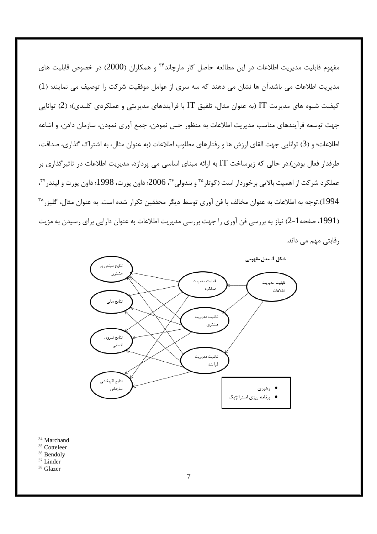مفهوم قابلیت مدیریت اطلاعات در این مطالعه حاصل کار مارچاند<sup>۳۴</sup> و همکاران (2000) در خصوص قابلیت های مدیریت اطلاعات می باشد.آن ها نشان می دهند که سه سری از عوامل موفقیت شرکت را توصیف می نمایند: (1) کیفیت شیوه های مدیریت IT (به عنوان مثال، تلفیق IT با فرآیندهای مدیریتی و عملکردی کلیدی)؛ (2) توانایی جهت توسعه فرآيندهاي مناسب مديريت اطلاعات به منظور حس نمودن، جمع آوري نمودن، سازمان دادن، و اشاعه اطلاعات؛ و (3) توانايي جهت القاي ارزش ها و رفتارهاي مطلوب اطلاعات (به عنوان مثال، به اشتراك گذاري، صداقت، طرفدار فعال بودن).در حالی که زیرساخت IT به ارائه مبنای اساسی می پردازد، مدیریت اطلاعات در تاثیر گذاری بر عملكرد شركت از اهميت بالايي برخوردار است (كوتلر<sup>۳۵</sup> و بندولي<sup>۳۶</sup>، 2006؛ داون پورت، 1998؛ داون پورت و ليندر<sup>۳۷</sup>، 1994).توجه به اطلاعات به عنوان مخالف با فن آوري توسط ديگر محققين تكرار شده است. به عنوان مثال، گليزر \*\* (1991، صفحه1-2) نیاز به بررسی فن آوری را جهت بررسی مدیریت اطلاعات به عنوان دارایی برای رسیدن به مزیت رقابتی مهم می داند.



- <sup>34</sup> Marchand
- <sup>35</sup> Cotteleer
- <sup>36</sup> Bendoly
- <sup>37</sup> Linder
- <sup>38</sup> Glazer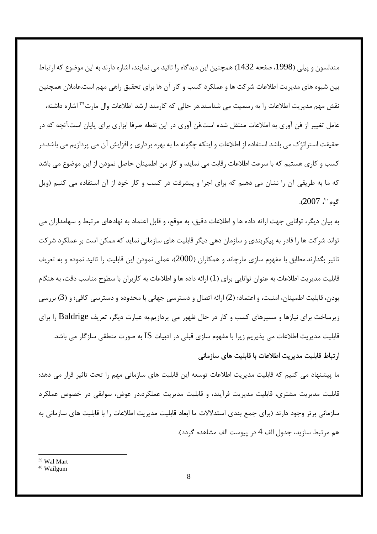مندلسون و پیلی (1998، صفحه 1432) همچنین این دیدگاه را تائید می نمایند، اشاره دارند به این موضوع که ارتباط بین شیوه های مدیریت اطلاعات شرکت ها و عملکرد کسب و کار آن ها برای تحقیق راهی مهم است.عاملان همچنین نقش مهم مدیریت اطلاعات را به رسمیت می شناسند.در حال<sub>ی</sub> که کارمند ارشد اطلاعات وال مارت<sup>۳۹</sup> اشاره داشته، عامل تغییر از فن آوری به اطلاعات منتقل شده است.فن آوری در این نقطه صرفا ابزاری برای پایان است.آنچه که در حقیقت استراتژک می باشد استفاده از اطلاعات و اینکه چگونه ما به بهره برداری و افزایش آن می پردازیم می باشد.در کسب و کاری هستیم که با سرعت اطلاعات رقابت می نماید، و کار من اطمینان حاصل نمودن از این موضوع می باشد که ما به طریقی آن را نشان می دهیم که برای اجرا و پیشرفت در کسب و کار خود از آن استفاده می کنیم (ویل گوم<sup>۴۰</sup>، 2007).

به بيان ديگر، توانايي جهت ارائه داده ها و اطلاعات دقيق، به موقع، و قابل اعتماد به نهادهاي مرتبط و سهامداران مي تواند شرکت ها را قادر به پیکربندی و سازمان دهی دیگر قابلیت های سازمانی نماید که ممکن است بر عملکرد شرکت تاثیر بگذارند.مطابق با مفهوم سازی مارچاند و همکاران (2000)، عملی نمودن این قابلیت را تائید نموده و به تعریف قابلیت مدیریت اطلاعات به عنوان توانایی برای (1) ارائه داده ها و اطلاعات به کاربران با سطوح مناسب دقت، به هنگام بودن، قابليت اطمينان، امنيت، و اعتماد؛ (2) ارائه اتصال و دسترسي جهاني با محدوده و دسترسي كافي؛ و (3) بررسي زیرساخت برای نیازها و مسیرهای کسب و کار در حال ظهور می پردازیم.به عبارت دیگر، تعریف Baldrige را برای قابلیت مدیریت اطلاعات می پذیریم زیرا با مفهوم سازی قبلی در ادبیات  ${\rm IS}$  به صورت منطقی سازگار می باشد.

## ارتباط قابلیت مدیریت اطلاعات با قابلیت های سازمانی

ما پیشنهاد می کنیم که قابلیت مدیریت اطلاعات توسعه این قابلیت های سازمانی مهم را تحت تاثیر قرار می دهد: قابلیت مدیریت مشتری، قابلیت مدیریت فرآیند، و قابلیت مدیریت عملکرد.در عوض، سوابقی در خصوص عملکرد سازمانی برتر وجود دارند (برای جمع بندی استدلالات ما ابعاد قابلیت مدیریت اطلاعات را با قابلیت های سازمانی به هم مرتبط سازيد، جدول الف 4 در پيوست الف مشاهده گردد).

<sup>&</sup>lt;sup>39</sup> Wal Mart

<sup>&</sup>lt;sup>40</sup> Wailgum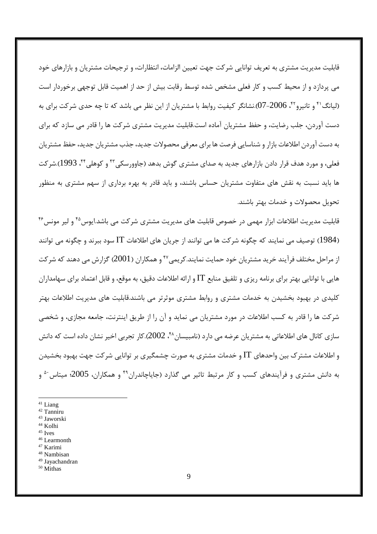قابلیت مدیریت مشتری به تعریف توانایی شرکت جهت تعیین الزامات، انتظارات، و ترجیحات مشتریان و بازارهای خود می پردازد و از محیط کسب و کار فعلی مشخص شده توسط رقابت بیش از حد از اهمیت قابل توجهی برخوردار است (لیانگ' ٔ و تانیرو' ٔ ٔ، 2006–07).نشانگر کیفیت روابط با مشتریان از این نظر می باشد که تا چه حدی شرکت برای به دست آوردن، جلب رضایت، و حفظ مشتریان آماده است.قابلیت مدیریت مشتری شرکت ها را قادر می سازد که برای به دست آوردن اطلاعات بازار و شناسایی فرصت ها برای معرفی محصولات جدید، جذب مشتریان جدید، حفظ مشتریان فعلي، و مورد هدف قرار دادن بازارهاي جديد به صداي مشتري گوش بدهد (جاوورسكي ۴۳ و كوهلي ۴۴. 1993).شركت ها باید نسبت به نقش های متفاوت مشتریان حساس باشند، و باید قادر به بهره برداری از سهم مشتری به منظور تحویل محصولات و خدمات بهتر باشند.

قابلیت مدیریت اطلاعات ابزار مهمی در خصوص قابلیت های مدیریت مشتری شرکت می باشد.ایوس<sup>۴۵</sup> و لیر مونس<sup>۴۶</sup> (1984) توصيف مي نمايند كه چگونه شركت ها مي توانند از جريان هاي اطلاعات IT سود ببرند و چگونه مي توانند از مراحل مختلف فرآیند خرید مشتریان خود حمایت نمایند.کریمی ۴۷ و همکاران (2001) گزارش می دهند که شرکت هایی با توانایی بهتر برای برنامه ریزی و تلفیق منابع IT و ارائه اطلاعات دقیق، به موقع، و قابل اعتماد برای سهامداران کلیدی در بهبود بخشیدن به خدمات مشتری و روابط مشتری موثرتر می باشند.قابلیت های مدیریت اطلاعات بهتر شرکت ها را قادر به کسب اطلاعات در مورد مشتریان می نماید و آن را از طریق اینترنت، جامعه مجازی، و شخصی سازی کانال های اطلاعاتی به مشتریان عرضه می دارد (نامبیسان^۴، 2002).کار تجربی اخیر نشان داده است که دانش و اطلاعات مشتر ک بین واحدهای IT و خدمات مشتری به صورت چشمگیری بر توانایی شر کت جهت بهبود بخشیدن به دانش مشتری و فرآیندهای کسب و کار مرتبط تاثیر می گذارد (جایاچاندران<sup>۴۹</sup> و همکاران، 2005؛ میتاس<sup>۵۰</sup> و

- $41$  Liang
- <sup>42</sup> Tanniru
- <sup>43</sup> Jaworski
- <sup>44</sup> Kolhi
- $45$  Ives
- <sup>46</sup> Learmonth
- <sup>47</sup> Karimi
- <sup>48</sup> Nambisan
- <sup>49</sup> Javachandran
- <sup>50</sup> Mithas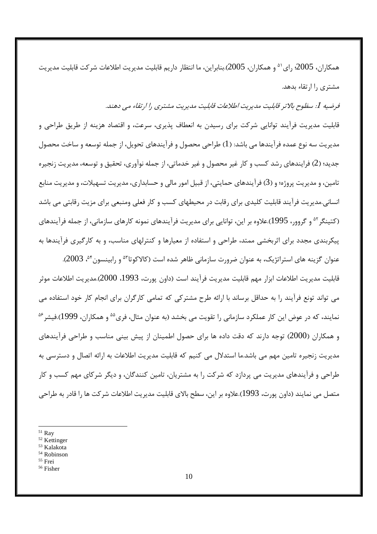همكا,ان، 2005؛ ,اي<sup>۵۱</sup> و همكا,ان، 2005).بنابراين، ما انتظار داريم قابليت مديريت اطلاعات شركت قابليت مديريت مشتری را ارتقاء بدهد.

# فرضيه 1: سظوح بالاتر قابليت مديريت اطلاعات قابليت مديريت مشتري را ارتقاء مي دهند.

قابلیت مدیریت فرآیند توانایی شرکت برای رسیدن به انعطاف پذیری، سرعت، و اقتصاد هزینه از طریق طراحی و مدیریت سه نوع عمده فرآیندها می باشد: (1) طراحی محصول و فرآیندهای تحویل، از جمله توسعه و ساخت محصول جدید؛ (2) فرایندهای رشد کسب و کار غیر محصول و غیر خدماتی، از جمله نوآوری، تحقیق و توسعه، مدیریت زنجیره تامین، و مدیریت پروژه؛ و (3) فرآیندهای حمایتی، از قبیل امور مالی و حسابداری، مدیریت تسهیلات، و مدیریت منابع انسانی.مدیریت فرآیند قابلیت کلیدی برای رقابت در محیطهای کسب و کار فعلی ومنبعی برای مزیت رقابتی می باشد (کتینگر <sup>۵۲</sup> و گروور، 1995).علاوه بر این، توانایی برای مدیریت فرآیندهای نمونه کارهای سازمانی، از جمله فرآیندهای پیکربندی مجدد برای اثربخشی ممتد، طراحی و استفاده از معیارها و کنترلهای مناسب، و به کارگیری فرآیندها به عنوان گزینه های استراتژیک، به عنوان ضرورت سازمانی ظاهر شده است (کالاکوتا<sup>۵۳</sup> و رابینسون<sup>۵۴</sup>، 2003).

قابليت مديريت اطلاعات ابزار مهم قابليت مديريت فرآيند است (داون پورت، 1993، 2000).مديريت اطلاعات موثر می تواند تونع فرآیند را به حداقل برساند با ارائه طرح مشترکی که تمامی کارگران برای انجام کار خود استفاده می نمایند، که در عوض این کار عملکرد سازمانی را تقویت می بخشد (به عنوان مثال، فری<sup>۵۵</sup> و همکاران، 1999).فیشر<sup>۵۶</sup> و همکاران (2000) توجه دارند که دقت داده ها برای حصول اطمینان از پیش بینی مناسب و طراحی فرآیندهای مدیریت زنجیره تامین مهم می باشد.ما استدلال می کنیم که قابلیت مدیریت اطلاعات به ارائه اتصال و دسترسی به طراحی و فرآیندهای مدیریت می پردازد که شرکت را به مشتریان، تامین کنندگان، و دیگر شرکای مهم کسب و کار متصل می نمایند (داون یورت، 1993).علاوه بر این، سطح بالای قابلیت مدیریت اطلاعات شرکت ها را قادر به طراحی

- $51$  Ray
- <sup>52</sup> Kettinger
- <sup>53</sup> Kalakota
- <sup>54</sup> Robinson
- <sup>55</sup> Frei
- <sup>56</sup> Fisher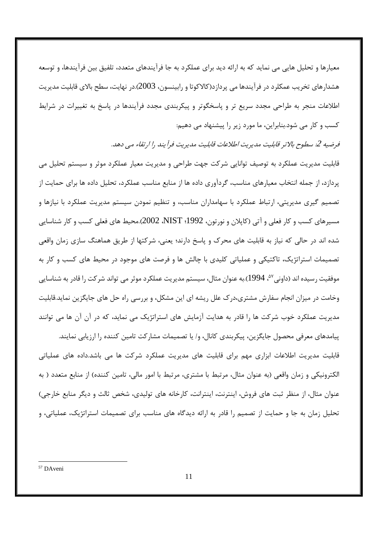معیارها و تحلیل هایی می نماید که به ارائه دید برای عملکرد به جا فرآیندهای متعدد، تلفیق بین فرآیندها، و توسعه هشدارهای تخریب عمکلرد در فرآیندها می پردازد(کالاکوتا و رابینسون، 2003).در نهایت، سطح بالای قابلیت مدیریت اطلاعات منجر به طراحی مجدد سریع تر و پاسخگوتر و پیکربندی مجدد فرآیندها در پاسخ به تغییرات در شرایط کسب و کار می شود.بنابراین، ما مورد زیر را پیشنهاد می دهیم:

فرضيه 2: سطوح بالاتر قابليت مديريت اطلاعات قابليت مديريت فرآيند را ارتقاء مي دهد.

قابلیت مدیریت عملکرد به توصیف توانایی شرکت جهت طراحی و مدیریت معیار عملکرد موثر و سیستم تحلیل می پردازد، از جمله انتخاب معیارهای مناسب، گردآوری داده ها از منابع مناسب عملکرد، تحلیل داده ها برای حمایت از تصمیم گیری مدیریتی، ارتباط عملکرد با سهامداران مناسب، و تنظیم نمودن سیستم مدیریت عملکرد با نیازها و مسیرهای کسب و کار فعلی و آتی (کاپلان و نورتون، 1992؛ NIST، 2002).محیط های فعلی کسب و کار شناسایی شده اند در حالي كه نياز به قابليت هاي محرك و پاسخ دارند؛ يعني، شركتها از طريق هماهنگ سازي زمان واقعي تصمیمات استراتژیک، تاکتیکی و عملیاتی کلیدی با چالش ها و فرصت های موجود در محیط های کسب و کار به موفقیت رسیده اند (داونی<sup>۵۷</sup>، 1994).به عنوان مثال، سیستم مدیریت عملکرد موثر می تواند شرکت را قادر به شناسایی وخامت در میزان انجام سفارش مشتری،درک علل ریشه ای این مشکل، و بررسی راه حل های جایگزین نماید.قابلیت مدیریت عملکرد خوب شرکت ها را قادر به هدایت آزمایش های استراتژیک می نماید، که در آن آن ها می توانند

یپامدهای معرفی محصول جایگزین، پیکربندی کانال، و/ یا تصمیمات مشارکت تامین کننده را ارزیابی نمایند. قابلیت مدیریت اطلاعات ابزاری مهم برای قابلیت های مدیریت عملکرد شرکت ها می باشد.داده های عملیاتی الکترونیکی و زمان واقعی (به عنوان مثال، مرتبط با مشتری، مرتبط با امور مالی، تامین کننده) از منابع متعدد ( به عنوان مثال، از منظر ثبت های فروش، اینترنت، اینترانت، کارخانه های تولیدی، شخص ثالث و دیگر منابع خارجی) تحلیل زمان به جا و حمایت از تصمیم را قادر به ارائه دیدگاه های مناسب برای تصمیمات استراتژیک، عملیاتی، و

<sup>&</sup>lt;sup>57</sup> DAveni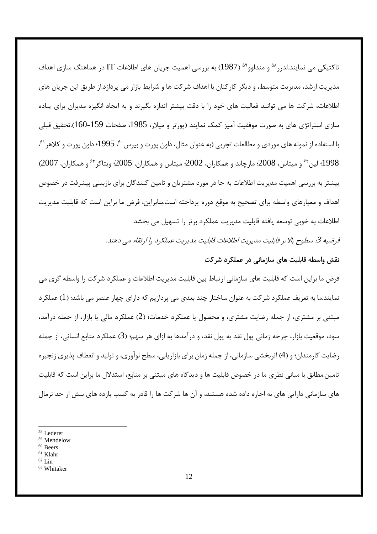تاکتیکی می نمایند.لدرر<sup>۵۸</sup> و مندلوو<sup>۵۹ (1987) به بررسی اهمیت جریان های اطلاعات IT در هماهنگ سازی اهداف</sup> مدیریت ارشد، مدیریت متوسط، و دیگر کارکنان با اهداف شرکت ها و شرایط بازار می پردازد.از طریق این جریان های اطلاعات، شرکت ها می توانند فعالیت های خود را با دقت بیشتر اندازه بگیرند و به ایجاد انگیزه مدیران برای پیاده سازی استراتژی های به صورت موفقیت آمیز کمک نمایند (پورتر و میلار، 1985، صفحات 159-160).تحقیق قبلی با استفاده از نمونه های موردی و مطالعات تجربی (به عنوان مثال، داون پورت و بیرس ۶۰، 1995؛ داون پورت و کلاهر ۶۱، 1998؛ لين ٢ و ميتاس، 2008؛ مارچاند و همكاران، 2002؛ ميتاس و همكاران، 2005؛ ويتاكر <sup>7</sup> و همكاران، 2007) بیشتر به بررسی اهمیت مدیریت اطلاعات به جا در مورد مشتریان و تامین کنندگان برای بازبینی پیشرفت در خصوص اهداف و معیارهای واسطه برای تصحیح به موقع دوره پرداخته است.بنابراین، فرض ما براین است که قابلیت مدیریت اطلاعات به خوبی توسعه یافته قابلیت مدیریت عملکرد برتر را تسهیل می بخشد.

فرضيه 3: سطوح بالاتر قابليت مديريت اطلاعات قابليت مديريت عملكرد را ارتقاء مي دهند.

## نقش واسطه قابلیت های سازمانی در عملکرد شرکت

فرض ما براین است که قابلیت های سازمانی ارتباط بین قابلیت مدیریت اطلاعات و عملکرد شرکت را واسطه گری می نمایند.ما به تعریف عملکرد شرکت به عنوان ساختار چند بعدی می پردازیم که دارای چهار عنصر می باشد: (1) عملکرد مبتنی بر مشتری، از جمله رضایت مشتری، و محصول یا عملکرد خدمات؛ (2) عملکرد مالی یا بازار، از جمله درآمد، سود، موقعیت بازار، چرخه زمانی پول نقد به پول نقد، و درآمدها به ازای هر سهم؛ (3) عملکرد منابع انسانی، از جمله رضایت کارمندان؛ و (4) اثربخشی سازمانی، از جمله زمان برای بازاریابی، سطح نوآوری، و تولید و انعطاف پذیری زنجیره تامین.مطابق با مبانی نظری ما در خصوص قابلیت ها و دیدگاه های مبتنی بر منابع، استدلال ما براین است که قابلیت های سازمانی دارایی های به اجاره داده شده هستند، و آن ها شرکت ها را قادر به کسب بازده های بیش از حد نرمال

 $58$  Lederer

<sup>&</sup>lt;sup>59</sup> Mendelow

<sup>&</sup>lt;sup>60</sup> Beers

 $61$  Klahr

 $62$  Lin

<sup>&</sup>lt;sup>63</sup> Whitaker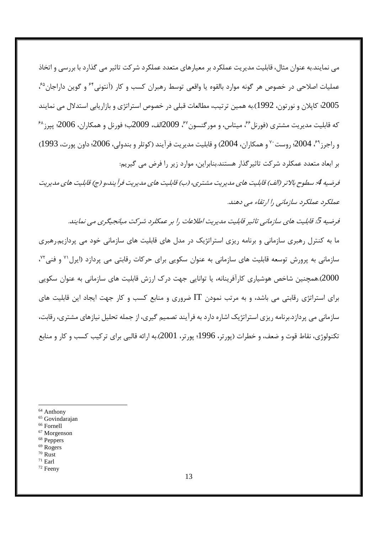مے نمایند.به عنوان مثال، قابلیت مدیریت عملکرد بر معیارهای متعدد عملکرد شرکت تاثیر مے گذارد با بررسے و اتخاذ عملیات اصلاحی در خصوص هر گونه موارد بالقوه یا واقعی توسط رهبران کسب و کار (آنتونی\* و گوین داراجان ُ گ 2005؛ کاپلان و نورتون، 1992).به همین ترتیب، مطالعات قبلی در خصوص استراتژی و بازاریابی استدلال می نمایند که قابلیت مدیریت مشتری (فورنل<sup>۶۶</sup>، میتاس، و مورگنسون<sup>۶۷</sup>، 2009الف، 2009ب؛ فورنل و همکاران، 2006؛ پیرز<sup>۶۸</sup> و راجرز <sup>۶۹</sup>، 2004، روست<sup>۷۰</sup> و همکاران، 2004) و قابليت مديريت فرآيند (کوتلر و بندولي، 2006؛ داون يورت، 1993) بر ابعاد متعدد عمکلرد شرکت تاثیر گذار هستند.بنابراین، موارد زیر را فرض می گیریم:

فرضيه 4. سطوح بالاتر (الف) قابليت هاي مديريت مشتري، (ب) قابليت هاي مديريت فرآ يند،و (ج) قابليت هاي مديريت عملکرد عملکرد سازمانی را ارتقاء می دهند.

فرضیه گی قابلیت های سازمانی تاثیر قابلیت مدیریت اطلاعات را بر عمکلرد شرکت میانجیگری می نمایند. ما به کنترل رهبری سازمانی و برنامه ریزی استراتژیک در مدل های قابلیت های سازمانی خود می پردازیم.رهبری سازمانی به پرورش توسعه قابلیت های سازمانی به عنوان سکویی برای حرکات رقابتی می پردازد (ایرل <sup>۷۱</sup> و فنی<sup>۷۲</sup>، 2000).همچنین شاخص هوشیاری کارآفرینانه، یا توانایی جهت درک ارزش قابلیت های سازمانی به عنوان سکویی برای استراتژی رقابتی می باشد، و به مرتب نمودن  $\rm{IT}$  ضروری و منابع کسب و کار جهت ایجاد این قابلیت های سازمانی می پردازد.برنامه ریزی استراتژیک اشاره دارد به فرآیند تصمیم گیری، از جمله تحلیل نیازهای مشتری، رقابت، تکنولوژي، نقاط قوت و ضعف، و خطرات (پورتر، 1996؛ پورتر، 2001).به ارائه قالبي براي ترکيب کسب و کار و منابع

<sup>64</sup> Anthony

- <sup>66</sup> Fornell
- $67$  Morgenson
- <sup>68</sup> Peppers
- <sup>69</sup> Rogers
- $70$  Rust  $71$  Earl
- <sup>72</sup> Feeny

<sup>&</sup>lt;sup>65</sup> Govindarajan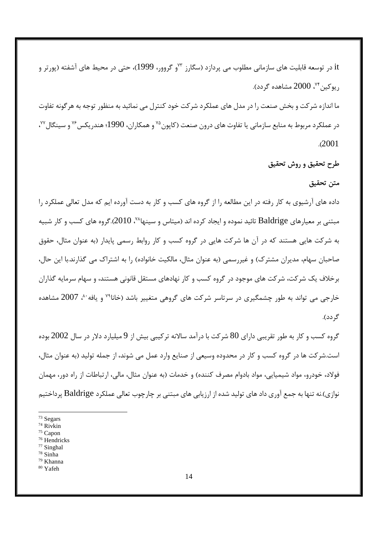it در توسعه قابلیت های سازمانی مطلوب می پردازد (سگارز <sup>۷۳</sup>و گروور، 1999)، حتی در محیط های آشفته (پورتر و , یو *ک*ین <sup>۷۴</sup>، 2000 مشاهده گردد). ما اندازه شر کت و بخش صنعت را در مدل های عملکرد شر کت خود کنترل می نمائید به منظور توجه به هر گونه تفاوت در عملکرد مربوط به منابع سازمانی یا تفاوت های درون صنعت (کاپون<sup>۷۵</sup> و همکاران، 1990؛ هندریکس<sup>۷۶</sup> و سینگال<sup>۷۷</sup>،  $.2001$ 

## طرح تحقیق و روش تحقیق

#### متن تحقيق

داده های آرشیوی به کار رفته در این مطالعه را از گروه های کسب و کار به دست آورده ایم که مدل تعالی عملکرد را مبتنی بر معیارهای Baldrige تائید نموده و ایجاد کرده اند (میتاس و سینها<sup>۷۸</sup>، 2010).گروه های کسب و کار شبیه به شرکت هایی هستند که در آن ها شرکت هایی در گروه کسب و کار روابط رسمی پایدار (به عنوان مثال، حقوق صاحبان سهام، مدیران مشترک) و غیررسمی (به عنوان مثال، مالکیت خانواده) را به اشتراک می گذارند.با این حال، برخلاف یک شرکت، شرکت های موجود در گروه کسب و کار نهادهای مستقل قانونی هستند، و سهام سرمایه گذاران خارجی می تواند به طور چشمگیری در سرتاسر شرکت های گروهی متغییر باشد (خانا<sup>۷۹</sup> و یافه <sup>۸۰</sup>، 2007 مشاهده گر دد).

گروه کسب و کار به طور تقریبی دارای 80 شرکت با درآمد سالانه ترکیبی بیش از 9 میلیارد دلار در سال 2002 بوده است.شرکت ها در گروه کسب و کار در محدوده وسیعی از صنایع وارد عمل می شوند، از جمله تولید (به عنوان مثال، فولاد، خودرو، مواد شیمیایی، مواد بادوام مصرف کننده) و خدمات (به عنوان مثال، مالی، ارتباطات از راه دور، مهمان نوازی).نه تنها به جمع آوری داد های تولید شده از ارزیابی های مبتنی بر چارچوب تعالی عملکرد Baldrige پرداختیم

<sup>&</sup>lt;sup>73</sup> Segars

<sup>74</sup> Rivkin

 $75$  Capon

<sup>&</sup>lt;sup>76</sup> Hendricks

<sup>&</sup>lt;sup>77</sup> Singhal

<sup>&</sup>lt;sup>78</sup> Sinha <sup>79</sup> Khanna

<sup>&</sup>lt;sup>80</sup> Yafeh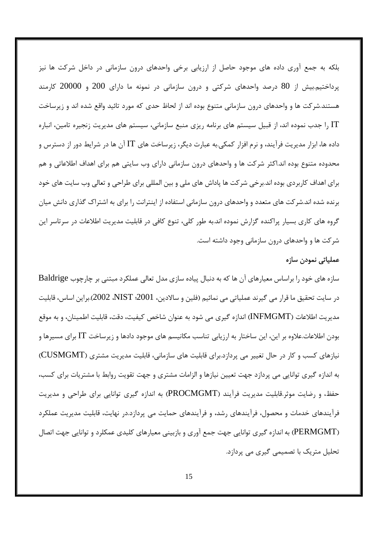بلکه به جمع آوری داده های موجود حاصل از ارزیابی برخی واحدهای درون سازمانی در داخل شرکت ها نیز پرداختیم.بیش از 80 درصد واحدهای شرکتی و درون سازمانی در نمونه ما دارای 200 و 20000 کارمند هستند.شرکت ها و واحدهای درون سازمانی متنوع بوده اند از لحاظ حدی که مورد تائید واقع شده اند و زیرساخت J, IT اجدب نموده اند، از قبیل سیستم های برنامه ریزی منبع سازمانی، سیستم های مدیریت زنجیره تامین، انباره I داده ها، ابزار مدیریت فرآیند، و نرم افزار کمکی.به عبارت دیگر، زیرساخت های IT آن ها در شرایط دور از دسترس و محدوده متنوع بوده اند.اکثر شرکت ها و واحدهای درون سازمانی دارای وب سایتی هم برای اهداف اطلاعاتی و هم برای اهداف کاربردی بوده اند.برخی شرکت ها پاداش های ملی و بین المللی برای طراحی و تعالی وب سایت های خود برنده شده اند.شر کت های متعدد و واحدهای درون سازمانی استفاده از اینترانت را برای به اشتراک گذاری دانش میان گروه های کاری بسیار پراکنده گزارش نموده اند.به طور کلی، تنوع کافی در قابلیت مدیریت اطلاعات در سرتاسر این شرکت ها و واحدهای درون سازمانی وجود داشته است.

#### عملیاتی نمودن سازہ

سازه های خود را براساس معیارهای آن ها که به دنبال پیاده سازی مدل تعالی عملکرد مبتنی بر چارچوب Baldrige در سايت تحقيق ما قرار مي گيرند عملياتي مي نمائيم (فلين و سالادين، 2001؛ NIST،2002).براين اساس، قابليت مديريت اطلاعات (INFMGMT) اندازه گيري مي شود به عنوان شاخص كيفيت، دقت، قابليت اطمينان، و به موقع بودن اطلاعات.علاوه بر این، این ساختار به ارزیابی تناسب مکانیسم های موجود دادها و زیرساخت IT برای مسیرها و نیازهای کسب و کار در حال تغییر می پردازد.برای قابلیت های سازمانی، قابلیت مدیریت مشتری (CUSMGMT) به اندازه گیری توانایی می پردازد جهت تعیین نیازها و الزامات مشتری و جهت تقویت روابط با مشتریات برای کسب، حفظ، و رضایت موثر.قابلیت مدیریت فرآیند (PROCMGMT) به اندازه گیری توانایی برای طراحی و مدیریت فرآیندهای خدمات و محصول، فرآیندهای رشد، و فرآیندهای حمایت می پردازد.در نهایت، قابلیت مدیریت عملکرد (PERMGMT) به اندازه گیری توانایی جهت جمع آوری و بازبینی معیارهای کلیدی عمکلرد و توانایی جهت اتصال تحلیل متریک با تصمیمی گیری می پردازد.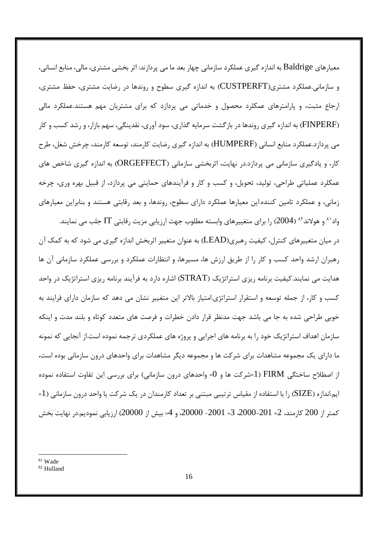معیا, های Baldrige به اندازه گیری عملکرد سازمانی چهار بعد ما می پردازند: اثر بخشی مشتری، مالی، منابع انسانی، و سازمانی.عملکرد مشتری(CUSTPERFT) به اندازه گیری سطوح و روندها در رضایت مشتری، حفظ مشتری، ارجاع مثبت، و پارامترهای عمکلرد محصول و خدماتی می پردازد که برای مشتریان مهم هستند.عملکرد مالی (FINPERF) به اندازه گیری روندها در بازگشت سرمایه گذاری، سود آوری، نقدینگی، سهم بازار، و رشد کسب و کار می پردازد.عملکرد منابع انسانی (HUMPERF) به اندازه گیری رضایت کارمند، توسعه کارمند، چرخش شغل، طرح کار، و یادگیری سازمانی می پردازد.در نهایت، اثربخشی سازمانی (ORGEFFECT) به اندازه گیری شاخص های عمکلرد عملیاتی طراحی، تولید، تحویل، و کسب و کار و فرآیندهای حمایتی می پردازد، از قبیل بهره وری، چرخه زمانی، و عملکرد تامین کننده.این معیارها عملکرد دارای سطوح، روندها، و بعد رقابتی هستند و بنابراین معیارهای

واد `` و هولاند `` (2004) , ا برای متغییرهای وابسته مطلوب جهت ارزیابی مزیت رقابتی IT جلب می نمایند. در میان متغییرهای کنترل، کیفیت رهبری(LEAD) به عنوان متغییر اثربخش اندازه گیری می شود که به کمک آن رهبران ارشد واحد کسب و کار را از طریق ارزش ها، مسیرها، و انتظارات عملکرد و بررسی عملکرد سازمانی آن ها هدایت می نمایند.کیفیت برنامه ریزی استراتژیک (STRAT) اشاره دارد به فرآیند برنامه ریزی استراتژیک در واحد کسب و کار، از جمله توسعه و استقرار استراتژی.امتیاز بالاتر این متغییر نشان می دهد که سازمان دارای فرایند به خوبی طراحی شده به جا می باشد جهت مدنظر قرار دادن خطرات و فرصت های متعدد کوتاه و بلند مدت و اینکه سازمان اهداف استراتژیک خود را به برنامه های اجرایی و پروژه های عملکردی ترجمه نموده است.از آنجایی که نمونه ما دارای یک مجموعه مشاهدات برای شرکت ها و مجموعه دیگر مشاهدات برای واحدهای درون سازمانی بوده است، از اصطلاح ساختگی FIRM (1=شرکت ها و 0= واحدهای درون سازمانی) برای بررسی این تفاوت استفاده نموده =1) ایم.اندازه (SIZE) ,ا با استفاده از مقیاس ترتیبی مبتنی بر تعداد کارمندان در یک شرکت یا واحد درون سازمانی كمتر از 200 كارمند، 2= 2001-2000، 3= 2000- 2000، و 4= بيش از 20000) ارزيابي نموديم.در نهايت بخش

<sup>&</sup>lt;sup>81</sup> Wade

<sup>&</sup>lt;sup>82</sup> Hulland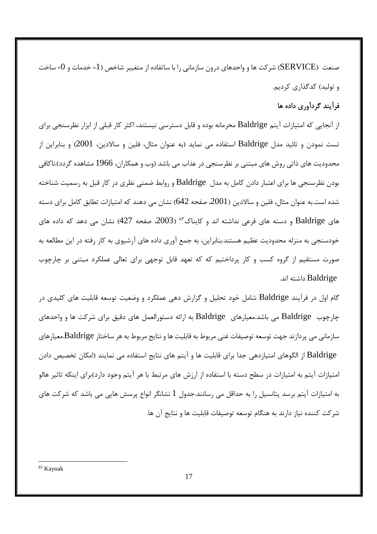صنعت (SERVICE) شرکت ها و واحدهای درون سازمانی را با ساتفاده از متغییر شاخص (1= خدمات و 0= ساخت و تولید) کدگذاری کردیم.

# فرآیند گردآوری داده ها

از آنجایی که امتیازات آیتم Baldrige محرمانه بوده و قابل دسترسی نیستند، اکثر کار قبلی از ابزار نظرسنجی برای تست نمودن و تائید مدل Baldrige استفاده می نماید (به عنوان مثال، فلین و سالادین، 2001) و بنابراین از محدودیت های ذاتی روش های مبتنی بر نظرسنجی در عذاب می باشد (وب و همکاران، 1966 مشاهده گردد).ناکافی بودن نظرسنجی ها برای اعتبار دادن کامل به مدل Baldrige و روابط ضمنی نظری در کار قبل به رسمیت شناخته شده است.به عنوان مثال، فلین و سالادین (2001، صفحه 642) نشان می دهند که امتیازات تطابق کامل برای دسته های Baldrige و دسته های فرعی نداشته اند و کایناک<sup>۸۳</sup> (2003، صفحه 427) نشان می دهد که داده های خودسنجی به منزله محدودیت عظیم هستند.بنابراین، به جمع آوری داده های آرشیوی به کار رفته در این مطالعه به صورت مستقیم از گروه کسب و کار پرداختیم که که تعهد قابل توجهی برای تعالی عملکرد مبتنی بر چارچوب Baldrige داشته اند.

گام اول در فرآیند Baldrige شامل خود تحلیل و گزارش دهی عملکرد و وضعیت توسعه قابلیت های کلیدی در چارچوب Baldrige می باشد.معیارهای Baldrige به ارائه دستورالعمل های دقیق برای شرکت ها و واحدهای سازمانی می پردازند جهت توسعه توصیفات غنی مربوط به قابلیت ها و نتایج مربوط به هر ساختار Baldrige.معیارهای Baldrige از الگوهای امتیازدهی جدا برای قابلیت ها و آیتم های نتایج استفاده می نمایند (امکان تخصیص دادن امتیازات آیتم به امتیازات در سطح دسته با استفاده از ارزش های مرتبط با هر آیتم وجود دارد)برای اینکه تاثیر هالو به امتیازات آیتم برسد پتانسیل را به حداقل می رسانند.جدول 1 نشانگر انواع پرسش هایی می باشد که شرکت های شركت كننده نياز دارند به هنگام توسعه توصيفات قابليت ها و نتايج آن ها.

<sup>&</sup>lt;sup>83</sup> Kaynak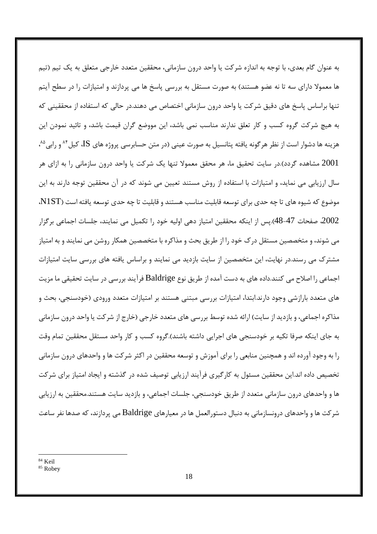به عنوان گام بعدی، با توجه به اندازه شرکت یا واحد درون سازمانی، محققین متعدد خارجی متعلق به یک تیم (تیم ها معمولا دارای سه تا نه عضو هستند) به صورت مستقل به بررسی پاسخ ها می پردازند و امتیازات را در سطح آیتم تنها براساس پاسخ های دقیق شرکت یا واحد درون سازمانی اختصاص می دهند.در حالی که استفاده از محققینی که به هیچ شرکت گروه کسب و کار تعلق ندارند مناسب نمی باشد، این مووضع گران قیمت باشد، و تائید نمودن این هزینه ها دشوار است از نظر هرگونه یافته پتانسیل به صورت عینی (در متن حسابرسی پروژه های IS، کیل\*^ و رابی<sup>^^</sup>، 2001 مشاهده گردد).در سایت تحقیق ما، هر محقق معمولا تنها یک شرکت یا واحد درون سازمانی را به ازای هر سال ارزیابی می نماید، و امتیازات با استفاده از روش مستند تعیین می شوند که در آن محققین توجه دارند به این موضوع که شیوه های تا چه حدی برای توسعه قابلیت مناسب هستند و قابلیت تا چه حدی توسعه یافته است (N1ST، 2002، صفحات 47-48).يس از اينكه محققين امتياز دهي اوليه خود را تكميل مي نمايند، جلسات اجماعي برگزار می شوند، و متخصصین مستقل درک خود را از طریق بحث و مذاکره با متخصصین همکار روشن می نمایند و به امتیاز مشترک می رسند.در نهایت، این متخصصین از سایت بازدید می نمایند و براساس یافته های بررسی سایت امتیازات اجماعی را اصلاح می کنند.داده های به دست آمده از طریق نوع Baldrige فرآیند بررسی در سایت تحقیقی ما مزیت های متعدد بارازشی وجود دارند.ابتدا، امتیازات بررسی مبتنی هستند بر امتیازات متعدد ورودی (خودسنجی، بحث و مذاکره اجماعی، و بازدید از سایت) ارائه شده توسط بررسی های متعدد خارجی (خارج از شرکت یا واحد درون سازمانی به جای اینکه صرفا تکیه بر خودسنجی های اجرایی داشته باشند).گروه کسب و کار واحد مستقل محققین تمام وقت را به وجود آورده اند و همچنین منابعی را برای آموزش و توسعه محققین در اکثر شرکت ها و واحدهای درون سازمانی تخصیص داده اند.این محققین مسئول به کارگیری فرآیند ارزیابی توصیف شده در گذشته و ایجاد امتیاز برای شرکت ها و واحدهای درون سازمانی متعدد از طریق خودسنجی، جلسات اجماعی، و بازدید سایت هستند.محققین به ارزیابی شر کت ها و واحدهای درونسازمانی به دنبال دستورالعمل ها در معیارهای Baldrige می پردازند، که صدها نفر ساعت

<sup>&</sup>lt;sup>84</sup> Keil

<sup>&</sup>lt;sup>85</sup> Robey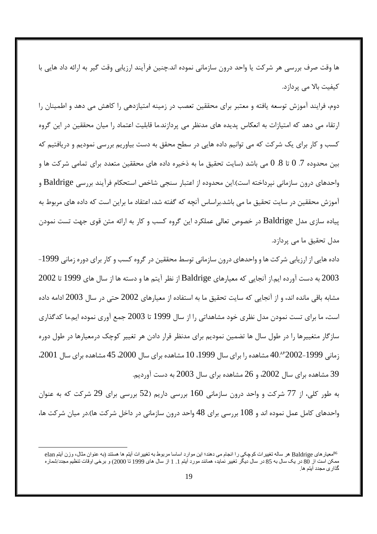ها وقت صرف بررسی هر شرکت یا واحد درون سازمانی نموده اند.چنین فرآیند ارزیابی وقت گیر به ارائه داد هایی با کیفیت بالا مے پردازد.

دوم، فرایند آموزش توسعه یافته و معتبر برای محققین تعصب در زمینه امتیازدهی را کاهش می دهد و اطمینان را ارتقاء می دهد که امتیازات به انعکاس پدیده های مدنظر می پردازند.ما قابلیت اعتماد را میان محققین در این گروه کسب و کار برای یک شرکت که می توانیم داده هایی در سطح محقق به دست بیاوریم بررسی نمودیم و دریافتیم که بین محدوده 7. 0 تا 8. 0 می باشد (سایت تحقیق ما به ذخیره داده های محققین متعدد برای تمامی شرکت ها و واحدهای درون سازمانی نیرداخته است).این محدوده از اعتبار سنجی شاخص استحکام فرایند بررسی Baldrige و آموزش محققین در سایت تحقیق ما می باشد.براساس آنچه که گفته شد، اعتقاد ما براین است که داده های مربوط به ییاده سازی مدل Baldrige در خصوص تعالی عملکرد این گروه کسب و کار به ارائه متن قوی جهت تست نمودن مدل تحقیق ما می پردازد.

داده هایی از ارزیابی شرکت ها و واحدهای درون سازمانی توسط محققین در گروه کسب و کار برای دوره زمانی 1999-2003 به دست آورده ایم.از آنجایی که معیارهای Baldrige از نظر آیتم ها و دسته ها از سال های 1999 تا 2002 مشابه باقی مانده اند، و از آنجایی که سایت تحقیق ما به استفاده از معیارهای 2002 حتی در سال 2003 ادامه داده است، ما برای تست نمودن مدل نظری خود مشاهداتی را از سال 1999 تا 2003 جمع آوری نموده ایم.ما کدگذاری سازگار متغییرها را در طول سال ها تضمین نمودیم برای مدنظر قرار دادن هر تغییر کوچک درمعیارها در طول دوره زمانی 1999-2002°40. مشاهده <sub>د</sub>ا برای سال 1999، 10 مشاهده برای سال 2000، 45 مشاهده برای سال 2001. 39 مشاهده برای سال 2002، و 26 مشاهده برای سال 2003 به دست آوردیم.

به طور کلی، از 77 شرکت و واحد درون سازمانی 160 بررسی داریم (52 بررسی برای 29 شرکت که به عنوان واحدهای کامل عمل نموده اند و 108 بررسی برای 48 واحد درون سازمانی در داخل شرکت ها).در میان شرکت ها،

<sup>&</sup>lt;sup>86</sup>معيار هاي Baldrige هر ساله تغييرات كوچكي را انجام مي دهند؛ اين موارد اساسا مربوط به تغييرات أيتم ها هستند (به عنوان مثال، وزن أيتم elan ممكن است از 80 در يك سال به 85 در سال ديگر تغيير نمايد، همانند مورد آيتم 1. 1 از سال هاي 1999 تا 2000) و برخي اوقات تنظيم مجدد/شمار ه گذار ی مجدد آیتم ها.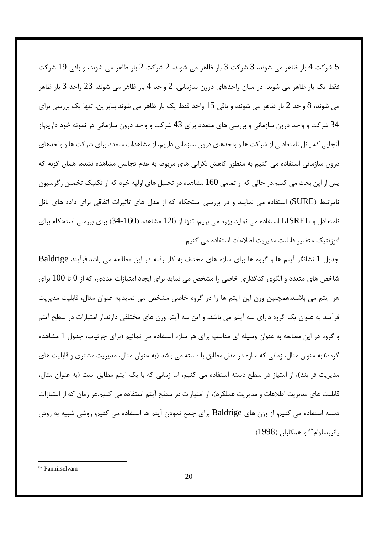5 شركت 4 بار ظاهر مى شوند، 3 شركت 3 بار ظاهر مى شوند، 2 شركت 2 بار ظاهر مى شوند، و باقى 19 شركت  $5$ فقط یک بار ظاهر می شوند. در میان واحدهای درون سازمانی، 2 واحد 4 بار ظاهر می شوند، 23 واحد 3 بار ظاهر می شوند، 8 واحد 2 بار ظاهر می شوند، و باقی 15 واحد فقط یک بار ظاهر می شوند.بنابراین، تنها یک بررسی برای 34 شرکت و واحد درون سازمانی و بررسی های متعدد برای 43 شرکت و واحد درون سازمانی در نمونه خود داریم.از آنجایی که پانل نامتعادلی از شرکت ها و واحدهای درون سازمانی داریم، از مشاهدات متعدد برای شرکت ها و واحدهای درون سازمانی استفاده می کنیم به منظور کاهش نگرانی های مربوط به عدم تجانس مشاهده نشده، همان گونه که پس از این بحث می کنیم.در حالی که از تمامی 160 مشاهده در تحلیل های اولیه خود که از تکنیک تخمین رگرسیون نامرتبط (SURE) استفاده می نمایند و در بررسی استحکام که از مدل های تاثیرات اتفاقی برای داده های پانل نامتعادل و LISREL استفاده می نماید بهره می بریم، تنها از 126 مشاهده (160-34) برای بررسی استحکام برای اتوژنتیک متغییر قابلیت مدیریت اطلاعات استفاده می کنیم.

جدول 1 نشانگر آیتم ها و گروه ها برای سازه های مختلف به کار رفته در این مطالعه می باشد.فرآیند Baldrige شاخص های متعدد و الگوی کدگذاری خاصی را مشخص می نماید برای ایجاد امتیازات عددی، که از 0 تا 100 برای هر آیتم می باشند.همچنین وزن این آیتم ها را در گروه خاصی مشخص می نماید.به عنوان مثال، قابلیت مدیریت فرآیند به عنوان یک گروه دارای سه آیتم می باشد، و این سه آیتم وزن های مختلفی دارند.از امتیازات در سطح آیتم و گروه در این مطالعه به عنوان وسیله ای مناسب برای هر سازه استفاده می نمائیم (برای جزئیات، جدول 1 مشاهده گردد).به عنوان مثال، زمانی که سازه در مدل مطابق با دسته می باشد (به عنوان مثال، مدیریت مشتری و قابلیت های مدیریت فرآیند)، از امتیاز در سطح دسته استفاده می کنیم، اما زمانی که با یک آیتم مطابق است (به عنوان مثال، قابلیت های مدیریت اطلاعات و مدیریت عملکرد)، از امتیازات در سطح آیتم استفاده می کنیم.هر زمان که از امتیازات دسته استفاده می کنیم، از وزن های Baldrige برای جمع نمودن آیتم ها استفاده می کنیم، روشی شبیه به روش پانیرسلوام<sup>۸۷</sup> و همکاران (1998).

<sup>87</sup> Pannirselvam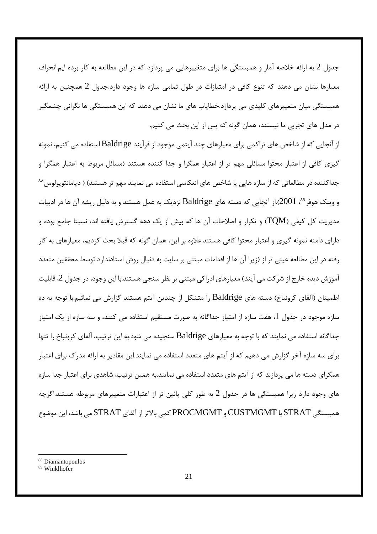جدول 2 به ارائه خلاصه آمار و همبستگی ها برای متغییرهایی می پردازد که در این مطالعه به کار برده ایم.انحراف معیارها نشان می دهند که تنوع کافی در امتیازات در طول تمامی سازه ها وجود دارد.جدول 2 همچنین به ارائه همبستگی میان متغییرهای کلیدی می پردازد.خطایاب های ما نشان می دهند که این همبستگی ها نگرانی چشمگیر در مدل های تجربی ما نیستند، همان گونه که پس از این بحث می کنیم.

از آنجایی که از شاخص های تراکمی برای معیارهای چند آیتمی موجود از فرآیند Baldrige استفاده می کنیم، نمونه گیری کافی از اعتبار محتوا مسائلی مهم تر از اعتبار همگرا و جدا کننده هستند (مسائل مربوط به اعتبار همگرا و جداکننده در مطالعاتی که از سازه هایی یا شاخص های انعکاسی استفاده می نمایند مهم تر هستند) ( دیامانتوپولوس<sup>۸۸</sup> و وینک هوفر <sup>۸۹</sup>، 2001).از آنجایی که دسته های Baldrige نزدیک به عمل هستند و به دلیل ریشه آن ها در ادبیات مديريت كل كيفي (TQM) و تكرار و اصلاحات آن ها كه بيش از يک دهه گسترش يافته اند، نسبتا جامع بوده و دارای دامنه نمونه گیری و اعتبار محتوا کافی هستند.علاوه بر این، همان گونه که قبلا بحث کردیم، معیارهای به کار رفته در این مطالعه عینی تر از (زیرا آن ها از اقدامات مبتنی بر سایت به دنبال روش استادندارد توسط محققین متعدد آموزش دیده خارج از شرکت می آیند) معیارهای ادراکی مبتنی بر نظر سنجی هستند.با این وجود، در جدول 2، قابلیت اطمینان (آلفای کرونباخ) دسته های Baldrige را متشکل از چندین آیتم هستند گزارش می نمائیم.با توجه به ده سازه موجود در جدول 1، هفت سازه از امتیاز جداگانه به صورت مستقیم استفاده می کنند، و سه سازه از یک امتیاز جداگانه استفاده می نمایند که با توجه به معیارهای Baldrige سنجیده می شود.به این ترتیب، آلفای کرونباخ را تنها برای سه سازه آخر گزارش می دهیم که از آیتم های متعدد استفاده می نمایند.این مقادیر به ارائه مدرک برای اعتبار همگرای دسته ها می پردازند که از آیتم های متعدد استفاده می نمایند.به همین ترتیب، شاهدی برای اعتبار جدا سازه های وجود دارد زیرا همبستگی ها در جدول 2 به طور کلی پائین تر از اعتبارات متغییرهای مربوطه هستند.اگرچه همبستگی STRAT با CUSTMGMT و PROCMGMT كمی بالاتر از آلفای STRAT می باشد، این موضوع

<sup>&</sup>lt;sup>88</sup> Diamantopoulos

<sup>&</sup>lt;sup>89</sup> Winklhofer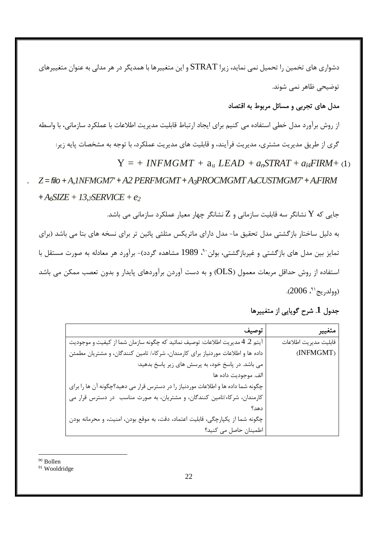دشواری های تخمین را تحمیل نمی نماید، زیرا STRAT و این متغییرها با همدیگر در هر مدلی به عنوان متغییرهای توضیحی ظاهر نمی شوند.

## مدل های تجربی و مسائل مربوط به اقتصاد

از روش برآورد مدل خطی استفاده می کنیم برای ایجاد ارتباط قابلیت مدیریت اطلاعات با عملکرد سازمانی، با واسطه گری از طریق مدیریت مشتری، مدیریت فرآیند، و قابلیت های مدیریت عملکرد، با توجه به مشخصات پایه زیر:  $Y = + INFMGMT + a<sub>n</sub> LEAD + a<sub>n</sub>STRAT + a<sub>14</sub>FIRM + (1)$  $Z =$  filo + A, 1NFMGM7' + A2 PERFMGMT + A3PROCMGMT A4CUSTMGM7' + A5FIRM  $+A_6SZE + 13.7SERVICE + e_2$ جایی که  $\rm Y$  نشانگر سه قابلیت سازمانی و  $\rm Z$  نشانگر چهار معیار عملکرد سازمانی می باشد. به دلیل ساختار بازگشتی مدل تحقیق ما- مدل دارای ماتریکس مثلثی پائین تر برای نسخه های بتا می باشد (برای تمایز بین مدل های بازگشتی و غیربازگشتی، بولن<sup>۹۰</sup>، 1989 مشاهده گردد)- برآورد هر معادله به صورت مستقل با

استفاده از روش حداقل مربعات معمول (OLS) و به دست آوردن برآوردهای پایدار و بدون تعصب ممکن می باشد  $(2006, 1, 2)$ وولدريج<sup>41</sup>، 2006).

| جدول 1. شرح گویایی از متغییرها |  |  |  |  |  |
|--------------------------------|--|--|--|--|--|
|--------------------------------|--|--|--|--|--|

| متغيير                | توصيف                                                                             |
|-----------------------|-----------------------------------------------------------------------------------|
| قابليت مديريت اطلاعات | آيتم 2. 4 مديريت اطلاعات: توصيف نمائيد كه چگونه سازمان شما از كيفيت و موجوديت     |
| (INFMGMT)             | داده ها و اطلاعات موردنیاز برای کارمندان، شرکاء/ تامین کنندگان، و مشتریان مطمئن   |
|                       | می باشد. در پاسخ خود، به پرسش های زیر پاسخ بدهید:                                 |
|                       | الف. موجوديت داده ها                                                              |
|                       | چگونه شما داده ها و اطلاعات موردنیاز را در دسترس قرار می دهید؟چگونه آن ها را برای |
|                       | کارمندان، شرکاء/تامین کنندگان، و مشتریان، به صورت مناسب در دسترس قرار می          |
|                       | دهد؟                                                                              |
|                       | چگونه شما از يكپارچگى، قابليت اعتماد، دقت، به موقع بودن، امنيت، و محرمانه بودن    |
|                       | اطمینان حاصل می کنید؟                                                             |

<sup>90</sup> Bollen

<sup>&</sup>lt;sup>91</sup> Wooldridge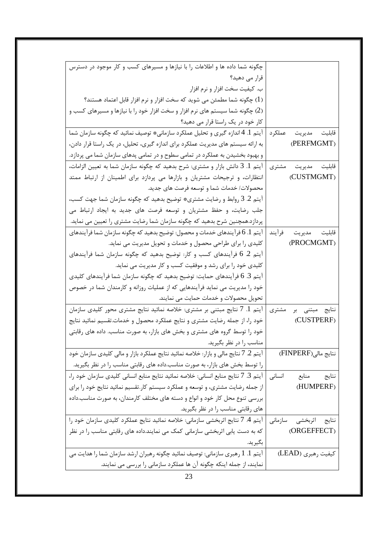| چگونه شما داده ها و اطلاعات را با نیازها و مسیرهای کسب و کار موجود در دسترس           |                       |
|---------------------------------------------------------------------------------------|-----------------------|
| قرار می دهید؟                                                                         |                       |
| ب. کیفیت سخت افزار و نرم افزار                                                        |                       |
| (1) چگونه شما مطمئن می شوید که سخت افزار و نرم افزار قابل اعتماد هستند؟               |                       |
| (2) چگونه شما سیستم های نرم افزار و سخت افزار خود را با نیازها و مسیرهای کسب و        |                       |
| کار خود در یک راستا قرار می دهید؟                                                     |                       |
| آيتم 1. 4 اندازه گيري و تحليل عملكرد سازماني* توصيف نمائيد كه چگونه سازمان شما        | قابليت مديريت عملكرد  |
| به ارائه سیستم های مدیریت عملکرد برای اندازه گیری، تحلیل، در یک راستا قرار دادن،      | (PERFMGMT)            |
| و بهبود بخشیدن به عملکرد در تمامی سطوح و در تمامی پدهای سازمان شما می پردازد.         |                       |
| آيتم 1. 3 دانش بازار و مشترى: شرح بدهيد كه چگونه سازمان شما به تعيين الزامات،         | قابلیت مدیریت مشتری   |
| انتظارات، و ترجیحات مشتریان و بازارها می پردازد برای اطمینان از ارتباط ممتد           | (CUSTMGMT)            |
| محصولات/ خدمات شما و توسعه فرصت های جدید.                                             |                       |
| أيتم 2. 3 روابط و رضايت مشترى* توضيح بدهيد كه چگونه سازمان شما جهت كسب،               |                       |
| جلب رضایت، و حفظ مشتریان و توسعه فرصت های جدید به ایجاد ارتباط می                     |                       |
| پردازد.همچنین شرح بدهید که چگونه سازمان شما رضایت مشتری را تعیین می نماید.            |                       |
| آیتم 1. 6 فرآیندهای خدمات و محصول: توضیح بدهید که چگونه سازمان شما فرآیندهای          | قابليت مديريت فرآيند  |
| کلیدی را برای طراحی محصول و خدمات و تحویل مدیریت می نماید.                            | (PROCMGMT)            |
| آیتم 2 6 فرآیندهای کسب و کار: توضیح بدهید که چگونه سازمان شما فرآیندهای               |                       |
| کلیدی خود را برای رشد و موفقیت کسب و کار مدیریت می نماید.                             |                       |
| آيتم 3. 6 فرآيندهاي حمايت: توضيح بدهيد كه چگونه سازمان شما فرآيندهاي كليدي            |                       |
| خود را مدیریت می نماید فرآیندهایی که از عملیات روزانه و کارمندان شما در خصوص          |                       |
| تحویل محصولات و خدمات حمایت می نمایند.                                                |                       |
| آیتم 1. 7 نتایج مبتنی بر مشتری: خلاصه نمائید نتایج مشتری محور کلیدی سازمان            | نتایج مبتنی بر مشتری  |
| خود را، از جمله رضایت مشتری و نتایج عملکرد محصول و خدمات تقسیم نمائید نتایج           | (CUSTPERF)            |
| خود را توسط گروه های مشتری و بخش های بازار، به صورت مناسب. داده های رقابتی            |                       |
| مناسب را در نظر بگیرید.                                                               |                       |
| آيتم 2. 7 نتايج مالي و بازار: خلاصه نمائيد نتايج عملكرد بازار و مالي كليدي سازمان خود | نتايج مالي(FINPERF)   |
| را توسط بخش های بازار، به صورت مناسب.داده های رقابتی مناسب را در نظر بگیرید.          |                       |
| آيتم 3. 7 نتايج منابع انساني: خلاصه نمائيد نتايج منابع انساني كليدي سازمان خود را،    | انسانى<br>نتايج منابع |
| از جمله رضایت مشتری، و توسعه و عملکرد سیستم کار.تقسیم نمائید نتایج خود را برای        | (HUMPERF)             |
| بررسی تنوع محل کار خود و انواع و دسته های مختلف کارمندان، به صورت مناسب.داده          |                       |
| های رقابتی مناسب را در نظر بگیرید.                                                    |                       |
| آيتم 4. 7 نتايج اثربخشي سازماني: خلاصه نمائيد نتايج عملكرد كليدي سازمان خود را        | نتايج اثربخشى سازمانى |
| که به دست پابی اثربخشی سازمانی کمک می نمایند.داده های رقابتی مناسب را در نظر          | (ORGEFFECT)           |
| بگير يد.                                                                              |                       |
| آيتم 1. 1 رهبري سازماني: توصيف نمائيد چگونه رهبران ارشد سازمان شما را هدايت مي        | كيفيت رهبري (LEAD)    |
| نمایند، از جمله اینکه چگونه آن ها عملکرد سازمانی را بررسی می نمایند.                  |                       |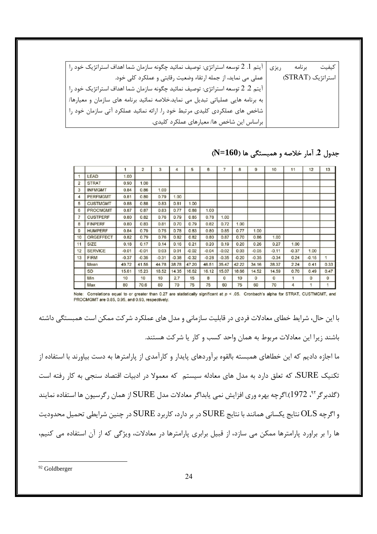| ریزی   آیتم 1. 2 توسعه استراتژی: توصیف نمائید چگونه سازمان شما اهداف استراتژیک خود را | كيفيت<br>بر نامه  |
|---------------------------------------------------------------------------------------|-------------------|
| عملي مي نمايد، از جمله ارتقاء وضعيت رقابتي و عملكرد كلي خود.                          | استراتژیک (STRAT) |
| آيتم 2. 2 توسعه استراتژي: توصيف نمائيد چگونه سازمان شما اهداف استراتژيک خود را        |                   |
| به برنامه هایی عملیاتی تبدیل می نماید.خلاصه نمائید برنامه های سازمان و معیارها/       |                   |
| شاخص های عملکردی کلیدی مرتبط خود را. ارائه نمائید عملکرد آتی سازمان خود را            |                   |
| براساس این شاخص ها/ معیارهای عملکرد کلیدی.                                            |                   |

 $\overline{8}$  $\overline{a}$  $10$  $12$  $\overline{1}$  $\overline{2}$  $\overline{3}$  $\overline{4}$ 5  $\overline{6}$  $11$  $13$ LEAD  $1.00$ STRAT 0.90  $1.00$  $\overline{2}$  $\overline{3}$ **INFMGMT** 0.84  $0.86$ 1.00 PERFMGMT  $\overline{4}$ 0.81  $0.80$ 0.79  $100$  $\overline{5}$ **CUSTMGMT** 0.88  $0.88$ 0.83  $0.81$  $1.00$ 6 PROCMGMT 0.87  $0.87$ 0.83 0.77  $0.88$ 1.00 **CUSTPERF** 0.80  $0.82$  $0.85$  $0.78$ 0.76 0.79 1.00  $\overline{B}$ FINPERF 0.80 0.83 0.81 0.70 0.79 0.82 0.72 1.00 **HUMPERE**  $0.77$  $100$  $\Omega$ 0.84 0.79 0.75 0.78 0.83 0.80 0.85 10 ORGEFFECT 0.82  $0.79$  $0.76$  $0.82$  $0.82$ 0.80  $0.87$  $0.70$ 0.86  $1.00$ SIZE  $0.17$  $0.26$  $0.27$  $1.00$  $11$  $0.18$  $0.14$  $0.16$  $0.21$  $0.20$  $0.19$  $0.20$ 12 SERVICE  $-0.01$  $-0.01$  $0.03$  $0.01$  $-0.02$  $-0.04$  $-0.02$  $0.03$  $-0.05$  $-0.11$  $-0.37$ 1.00  $-0.35$  $-0.34$ 13 FIRM  $-0.37$  $-0.35$  $-0.31$  $-0.38$  $-0.32$  $-0.28$  $-0.35$  $-0.20$  $0.24$  $-0.15$ 1 4972 41.55 4478  $3547$  $3416$ 38.37  $0.41$  $0.33$ Mean 38.78 47 20 46.51  $4222$  $224$ SD 15.61 15.23 18.52 14.35 16.62  $16.12$ 15.07 18.66 14.52 14.59  $0.70$  $0.49$  $0.47$ Min  $10$  $10$  $10$  $2.7$  $15$ 8  $\pmb{0}$  $10$  $\overline{O}$  $\overline{0}$  $\overline{O}$  $\mathbf 0$  $\overline{1}$ Max 80 70.6 80 70 75 75 60 75 60 70  $\overline{4}$ 

### جدول 2. آمار خلاصه و همبستگی ها (N=160)

Note: Correlations equal to or greater than 0.27 are statistically significant at  $p < .05$ . Cronbach's alpha for STRAT, CUSTMGMT, and PROCMGMT are 0.85, 0.95, and 0.93, respectively.

با این حال، شرایط خطای معادلات فردی در قابلیت سازمانی و مدل های عملکرد شرکت ممکن است همبستگی داشته باشند زیرا این معادلات مربوط به همان واحد کسب و کار یا شرکت هستند. ما اجازه دادیم که این خطاهای همبسته بالقوه برآوردهای پایدار و کارآمدی از پارامترها به دست بیاورند با استفاده از تکنیک SURE، که تعلق دارد به مدل های معادله سیستم که معمولا در ادبیات اقتصاد سنجی به کار رفته است (گلدبر گر<sup>۹۲</sup>، 1972).اگرچه بهره وری افزایش نمی پابداگر معادلات مدل SURE از همان رگرسیون ها استفاده نمایند و اگرچه OLS نتایج یکسانی همانند با نتایج SURE در بر دارد، کاربرد SURE در چنین شرایطی تحمیل محدودیت ها را بر براورد پارامترها ممکن می سازد، از قبیل برابری پارامترها در معادلات، ویژگی که از آن استفاده می کنیم،

<sup>&</sup>lt;sup>92</sup> Goldberger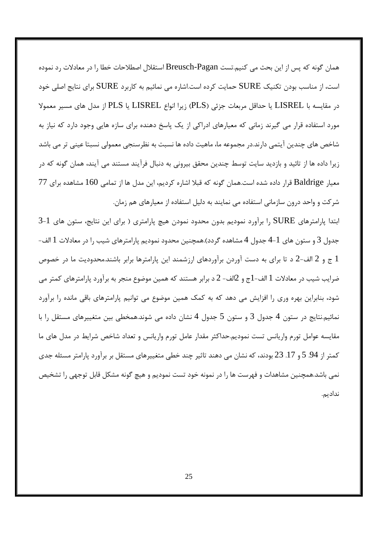همان گونه که پس از این بحث می کنیم.تست Breusch-Pagan استقلال اصطلاحات خطا را در معادلات رد نموده است، از مناسب بودن تکنیک SURE حمایت کرده است.اشاره می نمائیم به کاربرد SURE برای نتایج اصلی خود در مقايسه با LISREL يا حداقل مربعات جزئي (PLS) زيرا انواع LISREL يا PLS از مدل هاي مسير معمولا مورد استفاده قرار می گیرند زمانی که معیارهای ادراکی از یک پاسخ دهنده برای سازه هایی وجود دارد که نیاز به شاخص های چندین آیتمی دارند.در مجموعه ما، ماهیت داده ها نسبت به نظرسنجی معمولی نسبتا عینی تر می باشد زیرا داده ها از تائید و بازدید سایت توسط چندین محقق بیرونی به دنبال فرآیند مستند می آیند، همان گونه که در معیار Baldrige قرار داده شده است.همان گونه که قبلا اشاره کردیم، این مدل ها از تمامی 160 مشاهده برای 77 شرکت و واحد درون سازمانی استفاده می نمایند به دلیل استفاده از معیارهای هم زمان.

ابتدا پارامترهای SURE را برآورد نمودیم بدون محدود نمودن هیچ پارامتری ( برای این نتایج، ستون های 1-3 جدول 3 و ستون های 1-4 جدول 4 مشاهده گردد).همچنین محدود نمودیم پارامترهای شیب را در معادلات 1 الف-ج و 2 الف-2 د تا برای به دست آوردن برآوردهای ارزشمند این پارامترها برابر باشند.محدودیت ما در خصوص  $1$ ضرایب شیب در معادلات 1 الف-1ج و 2الف- 2 د برابر هستند که همین موضوع منجر به برآورد پارامترهای کمتر می شود، بنابراین بهره وری را افزایش می دهد که به کمک همین موضوع می توانیم پارامترهای باقی مانده را برآورد نمائیم.نتایج در ستون 4 جدول 3 و ستون 5 جدول 4 نشان داده می شوند.همخطی بین متغییرهای مستقل را با مقایسه عوامل تورم واریانس تست نمودیم.حداکثر مقدار عامل تورم واریانس و تعداد شاخص شرایط در مدل های ما کمتر از 94. 5 و 17. 23 بودند، که نشان می دهند تاثیر چند خطی متغییرهای مستقل بر برآورد پارامتر مسئله جدی نمی باشد.همچنین مشاهدات و فهرست ها را در نمونه خود تست نمودیم و هیچ گونه مشکل قابل توجهی را تشخیص نداديم.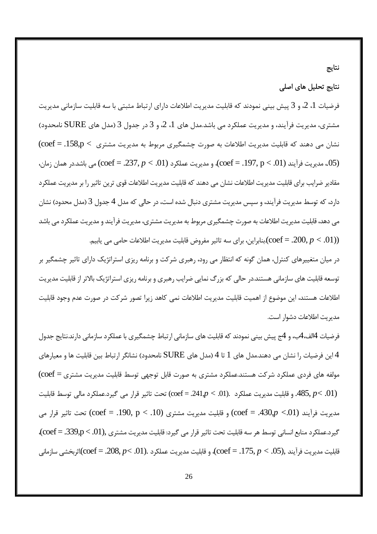# نتايج

## نتایج تحلیل های اصلی

فرضیات 1، 2، و 3 پیش بینی نمودند که قابلیت مدیریت اطلاعات دارای ارتباط مثبتی با سه قابلیت سازمانی مدیریت مشتری، مدیریت فرآیند، و مدیریت عملکرد می باشد.مدل های 1، 2، و 3 در جدول 3 (مدل های SURE نامحدود) نشان می دهند که قابلیت مدیریت اطلاعات به صورت چشمگیری مربوط به مدیریت مشتری  $p < 158, p < \mathrm{coeff} = 158,$ (05. مديريت فرآيند (01.  $p < 197, p < 197, p < 0$ )، و مديريت عملكرد (01. > 0, $p < 237, p < 237, p < 0$ ) مي باشد.در همان زمان، مقادیر ضرایب برای قابلیت مدیریت اطلاعات نشان می دهند که قابلیت مدیریت اطلاعات قوی ترین تاثیر را بر مدیریت عملکرد دارد، که توسط مدیریت فرآیند، و سپس مدیریت مشتری دنبال شده است، در حالی که مدل 4 جدول 3 (مدل محدود) نشان می دهد، قابلیت مدیریت اطلاعات به صورت چشمگیری مربوط به مدیریت مشتری، مدیریت فرآیند و مدیریت عملکرد می باشد بنابراين، براي سه تاثير مفروض قابليت مديريت اطلاعات حامي مي يابيم. $(\mathrm{coeff} = .200, p < .01) )$ 

در میان متغییرهای کنترل، همان گونه که انتظار می رود، رهبری شرکت و برنامه ریزی استراتژیک دارای تاثیر چشمگیر بر توسعه قابلیت های سازمانی هستند.در حالی که بزرگ نمایی ضرایب رهبری و برنامه ریزی استراتژیک بالاتر از قابلیت مدیریت اطلاعات هستند، این موضوع از اهمیت قابلیت مدیریت اطلاعات نمی کاهد زیرا تصور شرکت در صورت عدم وجود قابلیت مديريت اطلاعات دشوار است.

فرضیات 4الف،4ب، و 4ج پیش بینی نمودند که قابلیت های سازمانی ارتباط چشمگیری با عملکرد سازمانی دارند.نتایج جدول این فرضیات را نشان می دهند.مدل های 1 تا 4 (مدل های  $\rm SURE$  نامحدود) نشانگر ارتباط بین قابلیت ها و معیارهای  $4$ مولفه های فردی عملکرد شرکت هستند.عملکرد مشتری به صورت قابل توجهی توسط قابلیت مدیریت مشتری = coef) قحت تاثير قرار مي گيرد.عملكرد مالي توسط قابليت (coef = .241, $p < .01$ ). 485,  $p < .01$ ) مدیریت فرآیند (Coef = .430, $p < 0$ 1) و قابلیت مدیریت مشتری (Coef = .190,  $p < 10$ ) تحت تاثیر قرار می گيرد.عملكرد منابع انساني توسط هر سه قابليت تحت تاثير قرار مي گيرد: قابليت مديريت مشتري ,(coef = .339,p < .01)، قابليت مديريت فرآيند ,(05. $p < 175, p < 175, p < \cot$ )، و قابليت مديريت عملكرد .(01. $p < 208, p < 208$ . = 6)اثربخشي سازماني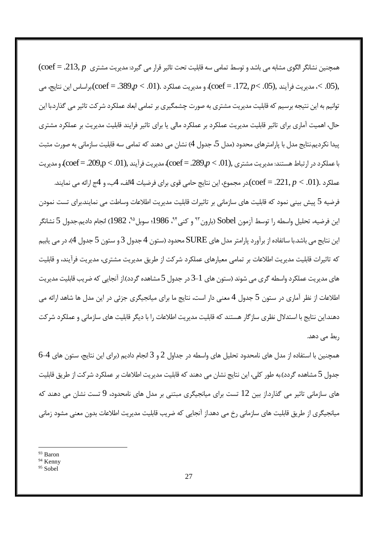( $\mathrm{coeff} = .213, p$  همچنین نشانگر الگوی مشابه می باشد و توسط تمامی سه قابلیت تحت تاثیر قرار می گیرد: مدیریت مشتری مديريت فرآيند ,(05. $p<.05$  = .172,  $p<.01$ )، و مديريت عملكرد .(01. $p<.09$ . = .389)براساس اين نتايج، مي $\zeta.05$ . توانیم به این نتیجه برسیم که قابلیت مدیریت مشتری به صورت چشمگیری بر تمامی ابعاد عملکرد شرکت تاثیر می گذارد.با این حال، اهمیت آماری برای تاثیر قابلیت مدیریت عملکرد بر عملکرد مالی یا برای تاثیر فرایند قابلیت مدیریت بر عملکرد مشتری پیدا نکردیم.نتایج مدل با پارامترهای محدود (مدل 5، جدول 4) نشان می دهند که تمامی سه قابلیت سازمانی به صورت مثبت با عملکرد در ارتباط هستند: مدیریت مشتری ,(coef = .289, $p < .01$ )، مدیریت فرآیند ,(coef = .209,p < .01)، و مدیریت

عملكرد .(01. $p < 221, p < \rm coef$ ).در مجموع، اين نتايج حامي قوي براي فرضيات 4لف، 4ب، و 4ج ارائه مي نمايند. فرضیه 5 پیش بینی نمود که قابلیت های سازمانی بر تاثیرات قابلیت مدیریت اطلاعات وساطت می نمایند.برای تست نمودن اين فرضيه، تحليل واسطه را توسط آزمون Sobel (بارون<sup>٩٣</sup> و كني<sup>٩۴</sup>، 1986؛ سوبل<sup>٩٥</sup>، 1982) انجام داديم.جدول 5 نشانگر این نتایج می باشد.با ساتفاده از برآورد پارامتر مدل های SURE محدود (ستون 4 جدول 3 و ستون 5 جدول 4)، در می پابیم که تاثیرات قابلیت مدیریت اطلاعات بر تمامی معیارهای عملکرد شرکت از طریق مدیریت مشتری، مدیریت فرآیند، و قابلیت های مدیریت عملکرد واسطه گری می شوند (ستون های 1–3 در جدول 5 مشاهده گردد).از آنجایی که ضریب قابلیت مدیریت اطلاعات از نظر آماری در ستون 5 جدول 4 معنی دار است، نتایج ما برای میانجیگری جزئی در این مدل ها شاهد ارائه می دهند.این نتایج با استدلال نظری سازگار هستند که قابلیت مدیریت اطلاعات را با دیگر قابلیت های سازمانی و عملکرد شرکت ربط مے ٖدھد.

همچنین با استفاده از مدل های نامحدود تحلیل های واسطه در جداول 2 و 3 انجام دادیم (برای این نتایج، ستون های 4-6 جدول 5 مشاهده گردد).به طور کلی، این نتایج نشان می دهند که قابلیت مدیریت اطلاعات بر عملکرد شرکت از طریق قابلیت های سازمانی تاثیر می گذارد.از بین 12 تست برای میانجیگری مبتنی بر مدل های نامحدود، 9 تست نشان می دهند که میانجیگری از طریق قابلیت های سازمانی رخ می دهد.از آنجایی که ضریب قابلیت مدیریت اطلاعات بدون معنی مشود زمانی

<sup>&</sup>lt;sup>93</sup> Baron

<sup>&</sup>lt;sup>94</sup> Kenny

 $95$  Sobel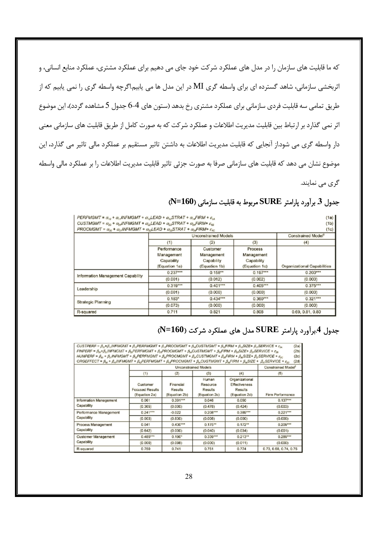که ما قابلیت های سازمان را در مدل های عملکرد شرکت خود جای می دهیم برای عملکرد مشتری، عملکرد منابع انسانی، و اثربخشی سازمانی، شاهد گسترده ای برای واسطه گری MI در این مدل ها می پابیم.اگرچه واسطه گری را نمی پابیم که از طریق تمامی سه قابلیت فردی سازمانی برای عملکرد مشتری رخ بدهد (ستون های 4–6 جدول 5 مشاهده گردد)، این موضوع اثر نمی گذارد بر ارتباط بین قابلیت مدیریت اطلاعات و عملکرد شرکت که به صورت کامل از طریق قابلیت های سازمانی معنی دار واسطه گری می شود.از آنجایی که قابلیت مدیریت اطلاعات به داشتن تاثیر مستقیم بر عملکرد مالی تاثیر می گذارد، این موضوع نشان می دهد که قابلیت های سازمانی صرفا به صورت جزئی تاثیر قابلیت مدیریت اطلاعات را بر عملکرد مالی واسطه گری می نمایند.

| PERFMGMT = $\alpha_{10}$ + $\alpha_{1}$ , INFMGMT + $\alpha_{12}$ LEAD + $\alpha_{13}$ STRAT + $\alpha_{14}$ FIRM + $\varepsilon_{14}$<br>CUSTMGMT = $\alpha_{20}$ + $\alpha_{24}$ INFMGMT + $\alpha_{22}$ LEAD + $\alpha_{23}$ STRAT + $\alpha_{24}$ FIRM+ $\varepsilon_{18}$<br>$PROCMGMT = \alpha_{30} + \alpha_{31}$ INFMGMT + $\alpha_{32}$ LEAD + $\alpha_{33}$ STRAT + $\alpha_{34}$ FIRM+ $\varepsilon_{32}$ |                                                          |                                                       |                                                      | (1a)<br>(1b)<br>(1c)               |
|----------------------------------------------------------------------------------------------------------------------------------------------------------------------------------------------------------------------------------------------------------------------------------------------------------------------------------------------------------------------------------------------------------------------|----------------------------------------------------------|-------------------------------------------------------|------------------------------------------------------|------------------------------------|
|                                                                                                                                                                                                                                                                                                                                                                                                                      |                                                          | Constrained Model <sup>t</sup>                        |                                                      |                                    |
|                                                                                                                                                                                                                                                                                                                                                                                                                      | (1)                                                      | (2)                                                   | (3)                                                  | (4)                                |
|                                                                                                                                                                                                                                                                                                                                                                                                                      | Performance<br>Management<br>Capability<br>(Equation 1a) | Customer<br>Management<br>Capability<br>(Equation 1b) | Process<br>Management<br>Capability<br>(Equation 1c) | <b>Organizational Capabilities</b> |
| Information Management Capability                                                                                                                                                                                                                                                                                                                                                                                    | $0.237***$                                               | $0.158***$                                            | $0.197***$                                           | $0.200***$                         |
|                                                                                                                                                                                                                                                                                                                                                                                                                      | (0.001)                                                  | (0.012)                                               | (0.002)                                              | (0.000)                            |
| Leadership                                                                                                                                                                                                                                                                                                                                                                                                           | $0.319***$                                               | $0.401***$                                            | $0.405***$                                           | $0.375***$                         |
|                                                                                                                                                                                                                                                                                                                                                                                                                      | (0.001)                                                  | (0.000)                                               | (0.000)                                              | (0.000)                            |
|                                                                                                                                                                                                                                                                                                                                                                                                                      | $0.183*$                                                 | $0.434***$                                            | $0.360***$                                           | $0.321***$                         |
| <b>Strategic Planning</b>                                                                                                                                                                                                                                                                                                                                                                                            | (0.073)                                                  | (0.000)                                               | (0.000)                                              | (0.000)                            |
| R-squared                                                                                                                                                                                                                                                                                                                                                                                                            | 0.711                                                    | 0.821                                                 | 0.808                                                | 0.69, 0.81, 0.80                   |

# جدول 3 برآورد پارامتر SURE مربوط به قابلیت سازمانی (N=160)

# جدول 4.برآورد پارامتر SURE مدل های عملکرد شرکت (N=160)

| CUSTPERF = $\beta_{10}$ + $\beta_{11}$ INFMGMT + $\beta_{12}$ PERFMGMT + $\beta_{13}$ PROCMGMT + $\beta_{14}$ CUSTMGMT + $\beta_{14}$ FIRM + $\beta_{15}$ SIZE+ $\beta_{17}$ SERVICE + $\varepsilon_{24}$ |                             |                |                |                      | (2a)                           |  |
|-----------------------------------------------------------------------------------------------------------------------------------------------------------------------------------------------------------|-----------------------------|----------------|----------------|----------------------|--------------------------------|--|
| $FINPERF = \beta_{22} + \beta_{21} INFMGMT + \beta_{22} PERFMGMT + \beta_{23} PROCMGMT + \beta_{24} CUSTMGMT + \beta_{25} FIRM + \beta_{26} SIZE + \beta_{27} SERVICE + \epsilon_{28}$<br>(2b)            |                             |                |                |                      |                                |  |
| HUMPERF = $\beta_{x0}$ + $\beta_{x1}$ NFMGMT + $\beta_{x2}$ PERFMGMT + $\beta_{x2}$ PROCMGMT + $\beta_{x3}$ CUSTMGMT + $\beta_{x3}$ FIRM + $\beta_{x4}$ SIZE+ $\beta_{x7}$ SERVICE + $\varepsilon_{2c}$   |                             |                |                |                      | (2c)                           |  |
| $ORGEFFECT = \beta_{so} + \beta_{s1}$ INFMGMT + $\beta_{s2}$ PERFMGMT + $\beta_{s4}$ PROCMGMT + $\beta_{s4}$ CUSTMGMT + $\beta_{s4}$ FIRM + $\beta_{s6}$ SIZE + $\beta_{s7}$ SERVICE + $\varepsilon_{20}$ |                             |                |                |                      | (2d)                           |  |
|                                                                                                                                                                                                           | <b>Unconstrained Models</b> |                |                |                      | Constrained Model <sup>t</sup> |  |
|                                                                                                                                                                                                           | (1)                         | (2)            | (3)            | (4)                  | (5)                            |  |
|                                                                                                                                                                                                           |                             |                | Human          | Organizational       |                                |  |
|                                                                                                                                                                                                           | Customer                    | Financial      | Resource       | <b>Effectiveness</b> |                                |  |
|                                                                                                                                                                                                           | <b>Focused Results</b>      | <b>Results</b> | <b>Results</b> | <b>Results</b>       |                                |  |
|                                                                                                                                                                                                           | (Equation 2a)               | (Equation 2b)  | (Equation 2c)  | (Equation 2d)        | Firm Performance               |  |
| <b>Information Management</b>                                                                                                                                                                             | 0.061                       | $0.391***$     | 0.046          | 0.050                | $0.137***$                     |  |
| Capability                                                                                                                                                                                                | (0.365)                     | (0.000)        | (0.478)        | (0.424)              | (0.003)                        |  |
| Performance Management<br>Capability                                                                                                                                                                      | $0.241***$                  | $-0.022$       | $0.208***$     | $0.389***$           | $0.221***$                     |  |
|                                                                                                                                                                                                           | (0.003)                     | (0.830)        | (0.008)        | (0.000)              | (0.000)                        |  |
| Process Management<br>Capability                                                                                                                                                                          | 0.041                       | $0.430***$     | $0.175***$     | $0.172**$            | $0.209***$                     |  |
|                                                                                                                                                                                                           | (0.642)                     | (0.000)        | (0.040)        | (0.034)              | (0.001)                        |  |
| <b>Customer Management</b><br>Capability                                                                                                                                                                  | $0.485***$                  | $0.190*$       | $0.339***$     | $0.213**$            | $0.289***$                     |  |
|                                                                                                                                                                                                           | (0.000)                     | (0.098)        | (0.000)        | (0.011)              | (0.000)                        |  |
| R-squared                                                                                                                                                                                                 | 0.750                       | 0.741          | 0.751          | 0.774                | 0.73, 0.68, 0.74, 0.75         |  |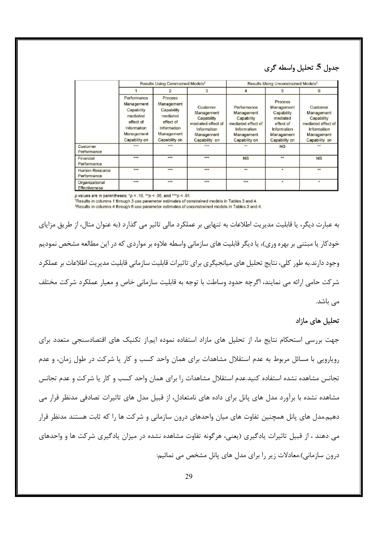## جدول 5. تحليل واسطه گري

|                                        | Results Using Constrained Models <sup>t</sup>                                                                  |                                                                                                            |                                                                                                          | Results Using Unconstrained Models <sup>#</sup>                                                             |                                                                                                            |                                                                                                          |
|----------------------------------------|----------------------------------------------------------------------------------------------------------------|------------------------------------------------------------------------------------------------------------|----------------------------------------------------------------------------------------------------------|-------------------------------------------------------------------------------------------------------------|------------------------------------------------------------------------------------------------------------|----------------------------------------------------------------------------------------------------------|
|                                        |                                                                                                                |                                                                                                            | 3                                                                                                        | 4                                                                                                           |                                                                                                            | 6                                                                                                        |
|                                        | Performance<br>Management<br>Capability<br>mediated<br>effect of<br>Information<br>Management<br>Capability on | Process<br>Management<br>Capability<br>mediated<br>effect of<br>Information<br>Management<br>Capability on | Customer<br>Management<br>Capability<br>mediated effect of<br>Information<br>Management<br>Capability on | Performance<br>Management<br>Capability<br>mediated effect of<br>Information<br>Management<br>Capability on | Process<br>Management<br>Capability<br>mediated<br>effect of<br>Information<br>Management<br>Capability on | Customer<br>Management<br>Capability<br>mediated effect of<br>Information<br>Management<br>Capability on |
| Customer<br>Performance                | 444                                                                                                            | 444                                                                                                        | 444                                                                                                      | darka.                                                                                                      | <b>NS</b>                                                                                                  | de de                                                                                                    |
| Financial<br>Performance               | $+ + +$                                                                                                        | $+ + +$                                                                                                    | $+ + +$                                                                                                  | <b>NS</b>                                                                                                   | $+ +$                                                                                                      | <b>NS</b>                                                                                                |
| Human Resource<br>Performance          | $+ +$                                                                                                          |                                                                                                            |                                                                                                          | $\ddot{\phantom{a}}$                                                                                        |                                                                                                            | $\ddot{ }$                                                                                               |
| Organizational<br><b>Effectiveness</b> | $* * *$                                                                                                        | 228                                                                                                        | ***                                                                                                      | ***                                                                                                         | ٠                                                                                                          | ٠                                                                                                        |

p values are in parentheses; \*p < .10, \*\*p < .05, and \*\*\*p < .01.

\*Results in columns 1 through 3 use parameter estimates of constrained models in Tables 3 and 4. <sup>‡</sup>Results in columns 4 through 6 use parameter estimates of unconstrained models in Tables 3 and 4.

به عبارت دیگر، یا قابلیت مدیریت اطلاعات به تنهایی بر عملکرد مالی تاثیر می گذارد (به عنوان مثال، از طریق مزایای خودکار یا مبتنی بر بهره وری)، یا دیگر قابلیت های سازمانی واسطه علاوه بر مواردی که در این مطالعه مشخص نمودیم وجود دارند.به طور کلی، نتایج تحلیل های میانجیگری برای تاثیرات قابلیت سازمانی قابلیت مدیریت اطلاعات بر عملکرد شر کت حامی ارائه می نمایند، اگرچه حدود وساطت با توجه به قابلیت سازمانی خاص و معیار عملکرد شرکت مختلف مے باشد.

#### تحلیل های مازاد

جهت بررسی استحکام نتایج ما، از تحلیل های مازاد استفاده نموده ایم.از تکنیک های اقتصادسنجی متعدد برای رویارویی با مسائل مربوط به عدم استقلال مشاهدات برای همان واحد کسب و کار یا شرکت در طول زمان، و عدم تجانس مشاهده نشده استفاده کنید.عدم استقلال مشاهدات را برای همان واحد کسب و کار یا شرکت و عدم تجانس مشاهده نشده با برآورد مدل های پانل برای داده های نامتعادل، از قبیل مدل های تاثیرات تصادفی مدنظر قرار می دهیم.مدل های پانل همچنین تفاوت های میان واحدهای درون سازمانی و شرکت ها را که ثابت هستند مدنظر قرار می دهند ، از قبیل تاثیرات یادگیری (یعنی، هرگونه تفاوت مشاهده نشده در میزان یادگیری شرکت ها و واحدهای درون سازمانی).معادلات زیر را برای مدل های پانل مشخص می نمائیم: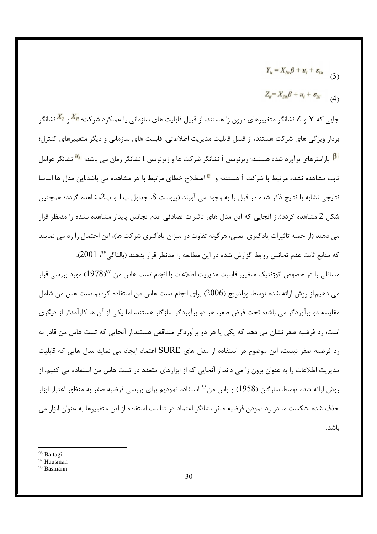$$
Y_{ii}=X_{1ii}\beta+u_i+\varepsilon_{1ii} \qquad (3)
$$

$$
Z_{it} = X_{2it}\beta + u_i + \varepsilon_{2it} \qquad (4)
$$

جایی که  $Y$  و  $X$  نشانگر متغییرهای درون زا هستند، از قبیل قابلیت های سازمانی یا عملکرد شرکت؛ ا $\frac{X_I}{\ }$  و  $Y$  نشانگر بردار ویژگی های شرکت هستند، از قبیل قابلیت مدیریت اطلاعاتی، قابلیت های سازمانی و دیگر متغییرهای کنترل؛ ا<mark>β</mark> پارامترهای برآورد شده هستند؛ زیرنویس i نشانگر شرکت ها و زیرنویس t نشانگر زمان می باشد؛ ا<sup>,μ</sup> نشانگر عوامل ثابت مشاهده نشده مرتبط با شركت i هستند؛ و الحمللاح خطاي مرتبط با هر مشاهده مي باشد.اين مدل ها اساسا نتايجي نشابه با نتايج ذكر شده در قبل را به وجود مي آورند (پيوست 8، جداول ب1 و ب2مشاهده گردد؛ همچنين شکل 2 مشاهده گردد).از آنجایی که این مدل های تاثیرات تصادفی عدم تجانس پایدار مشاهده نشده را مدنظر قرار می دهند (از جمله تاثیرات یادگیری-یعنی، هرگونه تفاوت در میزان یادگیری شرکت ها)، این احتمال را رد می نمایند

كه منابع ثابت عدم تجانس روابط گزارش شده در اين مطالعه را مدنظر قرار بدهند (بالتاگي<sup>۹۶</sup>، 2001). مسائلی را در خصوص اتوژنتیک متغییر قابلیت مدیریت اطلاعات با انجام تست هاس من ۱ $^{978}$ (۱) مورد بررسی قرار می دهیم.از روش ارائه شده توسط وولدریج (2006) برای انجام تست هاس من استفاده کردیم.تست هس من شامل مقایسه دو برآوردگر می باشد: تحت فرض صفر، هر دو برآوردگر سازگار هستند، اما یکی از آن ها کارآمدتر از دیگری است؛ رد فرضیه صفر نشان می دهد که یکی یا هر دو برآوردگر متناقض هستند.از آنجایی که تست هاس من قادر به رد فرضیه صفر نیست، این موضوع در استفاده از مدل های  $\rm SURE$  اعتماد ایجاد می نماید مدل هایی که قابلیت مدیریت اطلاعات را به عنوان برون زا می داند.از آنجایی که از ابزارهای متعدد در تست هاس من استفاده می کنیم، از روش ارائه شده توسط سارگان (1958) و باس من<sup>۹۸</sup> استفاده نمودیم برای بررسی فرضیه صفر به منظور اعتبار ابزار حذف شده .شکست ما در رد نمودن فرضیه صفر نشانگر اعتماد در تناسب استفاده از این متغییرها به عنوان ابزار می ىاشد.

<sup>&</sup>lt;sup>96</sup> Baltagi

<sup>&</sup>lt;sup>97</sup> Hausman

<sup>98</sup> Basmann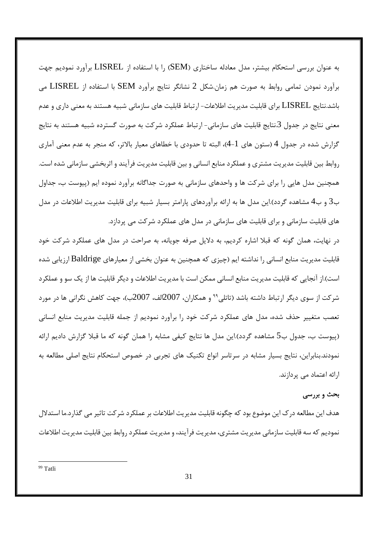به عنوان بررسی استحکام بیشتر، مدل معادله ساختاری (SEM) را با استفاده از LISREL برآورد نمودیم جهت برآورد نمودن تمامی روابط به صورت هم زمان.شکل 2 نشانگر نتایج برآورد SEM با استفاده از LISREL می باشد.نتایج LISREL برای قابلیت مدیریت اطلاعات- ارتباط قابلیت های سازمانی شبیه هستند به معنی داری و عدم معنی نتایج در جدول 3.نتایج قابلیت های سازمانی- ارتباط عملکرد شرکت به صورت گسترده شبیه هستند به نتایج گزارش شده در جدول 4 (ستون های 1-4)، البته تا حدودی با خطاهای معیار بالاتر، که منجر به عدم معنی آماری روابط بین قابلیت مدیریت مشتری و عملکرد منابع انسانی و بین قابلیت مدیریت فرآیند و اثربخشی سازمانی شده است. همچنین مدل هایی را برای شرکت ها و واحدهای سازمانی به صورت جداگانه برآورد نموده ایم (پیوست ب، جداول ب3 و ب4 مشاهده گردد).این مدل ها به ارائه برآوردهای پارامتر بسیار شبیه برای قابلیت مدیریت اطلاعات در مدل های قابلیت سازمانی و برای قابلیت های سازمانی در مدل های عملکرد شرکت می پردازد.

در نهایت، همان گونه که قبلا اشاره کردیم، به دلایل صرفه جویانه، به صراحت در مدل های عملکرد شرکت خود قابلیت مدیریت منابع انسانی را نداشته ایم (چیزی که همچنین به عنوان بخشی از معیارهای Baldrige ارزیابی شده است).از آنجایی که قابلیت مدیریت منابع انسانی ممکن است با مدیریت اطلاعات و دیگر قابلیت ها از یک سو و عملکر د شركت از سوى ديگر ارتباط داشته باشد (تاتلىٌّ و همكاران، 2007الف، 2007ب)، جهت كاهش نگرانى ها در مورد تعصب متغییر حذف شده، مدل های عملکرد شرکت خود را برآورد نمودیم از جمله قابلیت مدیریت منابع انسانی (پیوست ب، جدول ب5 مشاهده گردد).این مدل ها نتایج کیفی مشابه را همان گونه که ما قبلا گزارش دادیم ارائه نمودند.بنابراین، نتایج بسیار مشابه در سرتاسر انواع تکنیک های تجربی در خصوص استحکام نتایج اصلی مطالعه به ارائه اعتماد می پردازند.

#### بحث و بررسی

هدف این مطالعه در ک این موضوع بود که چگونه قابلیت مدیریت اطلاعات بر عملکرد شر کت تاثیر می گذارد.ما استدلال نمودیم که سه قابلیت سازمانی مدیریت مشتری، مدیریت فرآیند، و مدیریت عملکرد روابط بین قابلیت مدیریت اطلاعات

<sup>99</sup> Tatli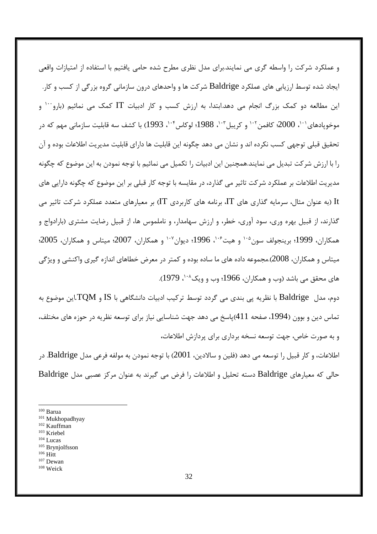و عملکرد شرکت را واسطه گری می نمایند.برای مدل نظری مطرح شده حامی یافتیم با استفاده از امتیازات واقعی ایجاد شده توسط ارزیابی های عملکرد Baldrige شرکت ها و واحدهای درون سازمانی گروه بزرگی از کسب و کار. این مطالعه دو کمک بزرگ انجام می دهد.ابتدا، به ارزش کسب و کار ادبیات IT کمک می نمائیم (بارو<sup>۱۰۰</sup> و موخويادهاي'``، 2000؛ كافمن''`` و كريبل''``، 1988؛ لوكاس''`، 1993) با كشف سه قابليت سازماني مهم كه در تحقیق قبلی توجهی کسب نکرده اند و نشان می دهد چگونه این قابلیت ها دارای قابلیت مدیریت اطلاعات بوده و آن را با ارزش شرکت تبدیل می نمایند.همچنین این ادبیات را تکمیل می نمائیم با توجه نمودن به این موضوع که چگونه مدیریت اطلاعات بر عملکرد شرکت تاثیر می گذارد، در مقایسه با توجه کار قبلی بر این موضوع که چگونه دارایی های اربه عنوان مثال، سرمایه گذاری های  $\Gamma$ ، برنامه های کاربردی  $\Gamma$ ) بر معیارهای متعدد عملکرد شرکت تاثیر می It گذارند، از قبیل بهره وری، سود آوری، خطر، و ارزش سهامدار، و ناملموس ها، از قبیل رضایت مشتری (بارادواج و همکاران، 1999؛ برینجولف سون<sup>۱۰۵</sup> و هیت<sup>۶۰۶</sup>، 1996؛ دیوان<sup>۱۰۷</sup> و همکاران، 2007؛ میتاس و همکاران، 2005؛ میتاس و همکاران، 2008).مجموعه داده های ما ساده بوده و کمتر در معرض خطاهای اندازه گیری واکنشی و ویژگی های محقق می باشد (وب و همکاران، 1966؛ وب و ویک^``، 1979).

دوم، مدل  $\rm Baldrige$  با نظریه پی بندی می گردد توسط ترکیب ادبیات دانشگاهی با  $\rm IS$  و  $\rm TQM$ .این موضوع به تماس دین و بوون (1994، صفحه 411)پاسخ می دهد جهت شناسایی نیاز برای توسعه نظریه در حوزه های مختلف، و به صورت خاص، جهت توسعه نسخه برداری برای پردازش اطلاعات،

اطلاعات، و كار قبيل را توسعه مي دهد (فلين و سالادين، 2001) با توجه نمودن به مولفه فرعي مدل Baldrige. در حالی که معیارهای Baldrige دسته تحلیل و اطلاعات را فرض می گیرند به عنوان مرکز عصبی مدل Baldrige

 $104$  Lucas

 $100$  Barua

<sup>&</sup>lt;sup>101</sup> Mukhopadhyay

 $102$  Kauffman

 $103$  Kriebel

 $105$  Brynjolfsson

 $106$  Hitt

 $107$  Dewan

 $108$  Weick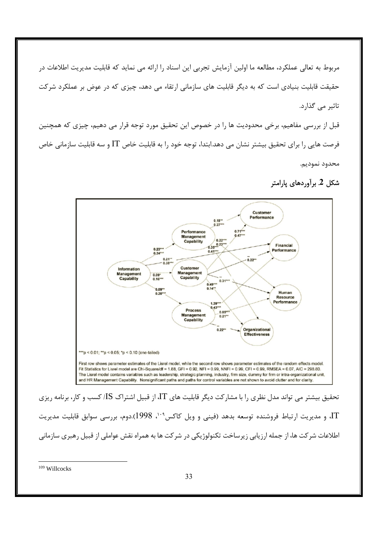مربوط به تعالی عملکرد، مطالعه ما اولین آزمایش تجربی این اسناد را ارائه می نماید که قابلیت مدیریت اطلاعات در حقیقت قابلیت بنیادی است که به دیگر قابلیت های سازمانی ارتقاء می دهد، چیزی که در عوض بر عملکرد شرکت تاثیر می گذارد.

قبل از بررسی مفاهیم، برخی محدودیت ها را در خصوص این تحقیق مورد توجه قرار می دهیم، چیزی که همچنین فرصت هایی را برای تحقیق بیشتر نشان می دهد.ابتدا، توجه خود را به قابلیت خاص IT و سه قابلیت سازمانی خاص محدود نموديم.





تحقیق بیشتر می تواند مدل نظری را با مشارکت دیگر قابلیت های IT، از قبیل اشتراک IS/ کسب و کار، برنامه ریزی .<br>IT، و مدیریت ارتباط فروشنده توسعه بدهد (فینی و ویل کاکس<sup>۰۰۹</sup>، 1998).دوم، بررسی سوابق قابلیت مدیریت اطلاعات شر کت ها، از جمله ارزیابی زیرساخت تکنولوژیکی در شر کت ها به همراه نقش عواملی از قبیل رهبری سازمانی

<sup>109</sup> Willcocks